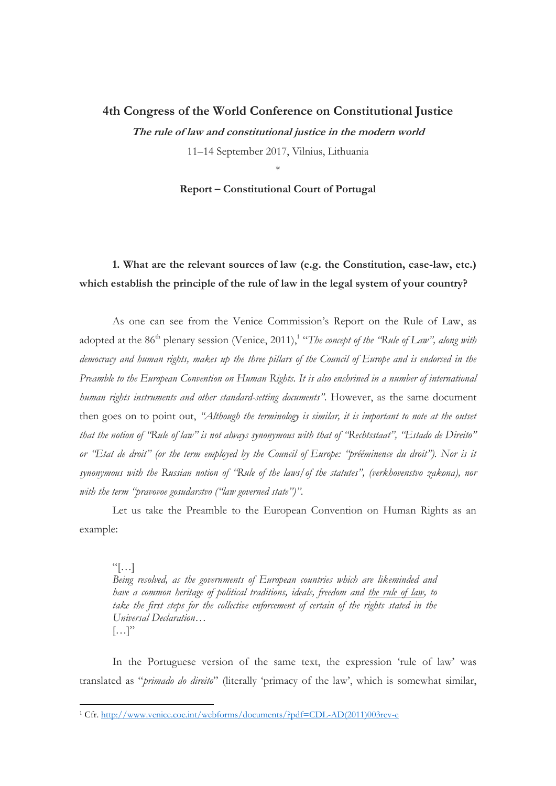#### **4th Congress of the World Conference on Constitutional Justice**

**The rule of law and constitutional justice in the modern world**

11–14 September 2017, Vilnius, Lithuania

\*

**Report – Constitutional Court of Portugal**

## **1. What are the relevant sources of law (e.g. the Constitution, case-law, etc.) which establish the principle of the rule of law in the legal system of your country?**

As one can see from the Venice Commission's Report on the Rule of Law, as adopted at the 86<sup>th</sup> plenary session (Venice, 2011),<sup>1</sup> "*The concept of the "Rule of Law"*, along with *democracy and human rights, makes up the three pillars of the Council of Europe and is endorsed in the Preamble to the European Convention on Human Rights. It is also enshrined in a number of international human rights instruments and other standard-setting documents"*. However, as the same document then goes on to point out, *"Although the terminology is similar, it is important to note at the outset that the notion of "Rule of law" is not always synonymous with that of "Rechtsstaat", "Estado de Direito" or "Etat de droit" (or the term employed by the Council of Europe: "prééminence du droit"). Nor is it synonymous with the Russian notion of "Rule of the laws/of the statutes", (verkhovenstvo zakona), nor with the term "pravovoe gosudarstvo ("law governed state")"*.

Let us take the Preamble to the European Convention on Human Rights as an example:

 $\lceil \cdot \rceil$ *Being resolved, as the governments of European countries which are likeminded and have a common heritage of political traditions, ideals, freedom and the rule of law, to*  take the first steps for the collective enforcement of certain of the rights stated in the *Universal Declaration…*  $\left[\ldots\right]$ "

In the Portuguese version of the same text, the expression 'rule of law' was translated as "*primado do direito*" (literally 'primacy of the law', which is somewhat similar,

 $\overline{a}$ 

<sup>1</sup> Cfr. [http://www.venice.coe.int/webforms/documents/?pdf=CDL-AD\(2011\)003rev-e](http://www.venice.coe.int/webforms/documents/?pdf=CDL-AD(2011)003rev-e)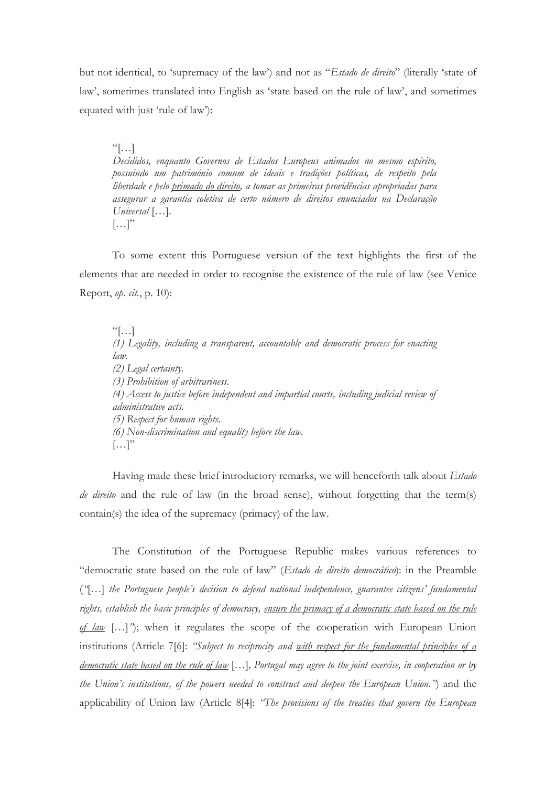but not identical, to 'supremacy of the law') and not as "*Estado de direito*" (literally 'state of law', sometimes translated into English as 'state based on the rule of law', and sometimes equated with just 'rule of law'):

 $\lceil \cdot \cdot \cdot \rceil$ *Decididos, enquanto Governos de Estados Europeus animados no mesmo espírito, possuindo um património comum de ideais e tradições políticas, de respeito pela liberdade e pelo primado do direito, a tomar as primeiras providências apropriadas para assegurar a garantia coletiva de certo número de direitos enunciados na Declaração Universal* […].  $\left[\ldots\right]$ "

To some extent this Portuguese version of the text highlights the first of the elements that are needed in order to recognise the existence of the rule of law (see Venice Report, *op. cit.*, p. 10):

 $\left[\ldots\right]$ *(1) Legality, including a transparent, accountable and democratic process for enacting law. (2) Legal certainty. (3) Prohibition of arbitrariness. (4) Access to justice before independent and impartial courts, including judicial review of administrative acts. (5) Respect for human rights. (6) Non-discrimination and equality before the law.*  $\left[\ldots\right]$ "

Having made these brief introductory remarks, we will henceforth talk about *Estado de direito* and the rule of law (in the broad sense), without forgetting that the term(s) contain(s) the idea of the supremacy (primacy) of the law.

The Constitution of the Portuguese Republic makes various references to "democratic state based on the rule of law" (*Estado de direito democrático*): in the Preamble (*"*[…] *the Portuguese people's decision to defend national independence, guarantee citizens' fundamental rights, establish the basic principles of democracy, ensure the primacy of a democratic state based on the rule of law* […]*"*); when it regulates the scope of the cooperation with European Union institutions (Article 7[6]: *"Subject to reciprocity and with respect for the fundamental principles of a democratic state based on the rule of law* […]*, Portugal may agree to the joint exercise, in cooperation or by the Union's institutions, of the powers needed to construct and deepen the European Union."*) and the applicability of Union law (Article 8[4]: *"The provisions of the treaties that govern the European*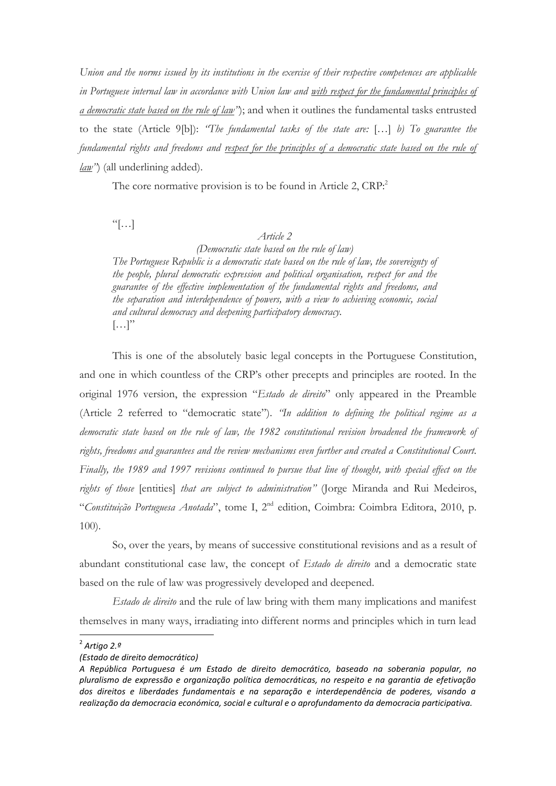*Union and the norms issued by its institutions in the exercise of their respective competences are applicable in Portuguese internal law in accordance with Union law and with respect for the fundamental principles of a democratic state based on the rule of law"*); and when it outlines the fundamental tasks entrusted to the state (Article 9[b]): *"The fundamental tasks of the state are:* […] *b) To guarantee the fundamental rights and freedoms and respect for the principles of a democratic state based on the rule of law"*) (all underlining added).

The core normative provision is to be found in Article 2, CRP.<sup>2</sup>

 $\left[\cdot\right]$ 

#### *Article 2*

*(Democratic state based on the rule of law) The Portuguese Republic is a democratic state based on the rule of law, the sovereignty of* 

*the people, plural democratic expression and political organisation, respect for and the guarantee of the effective implementation of the fundamental rights and freedoms, and the separation and interdependence of powers, with a view to achieving economic, social and cultural democracy and deepening participatory democracy.*  $\left[\ldots\right]$ "

This is one of the absolutely basic legal concepts in the Portuguese Constitution, and one in which countless of the CRP's other precepts and principles are rooted. In the original 1976 version, the expression "*Estado de direito*" only appeared in the Preamble (Article 2 referred to "democratic state"). *"In addition to defining the political regime as a democratic state based on the rule of law, the 1982 constitutional revision broadened the framework of rights, freedoms and guarantees and the review mechanisms even further and created a Constitutional Court. Finally, the 1989 and 1997 revisions continued to pursue that line of thought, with special effect on the rights of those* [entities] *that are subject to administration"* (Jorge Miranda and Rui Medeiros, "*Constituição Portuguesa Anotada*", tome I, 2nd edition, Coimbra: Coimbra Editora, 2010, p. 100).

So, over the years, by means of successive constitutional revisions and as a result of abundant constitutional case law, the concept of *Estado de direito* and a democratic state based on the rule of law was progressively developed and deepened.

*Estado de direito* and the rule of law bring with them many implications and manifest themselves in many ways, irradiating into different norms and principles which in turn lead

 2 *Artigo 2.º*

*<sup>(</sup>Estado de direito democrático)*

*A República Portuguesa é um Estado de direito democrático, baseado na soberania popular, no pluralismo de expressão e organização política democráticas, no respeito e na garantia de efetivação dos direitos e liberdades fundamentais e na separação e interdependência de poderes, visando a realização da democracia económica, social e cultural e o aprofundamento da democracia participativa.*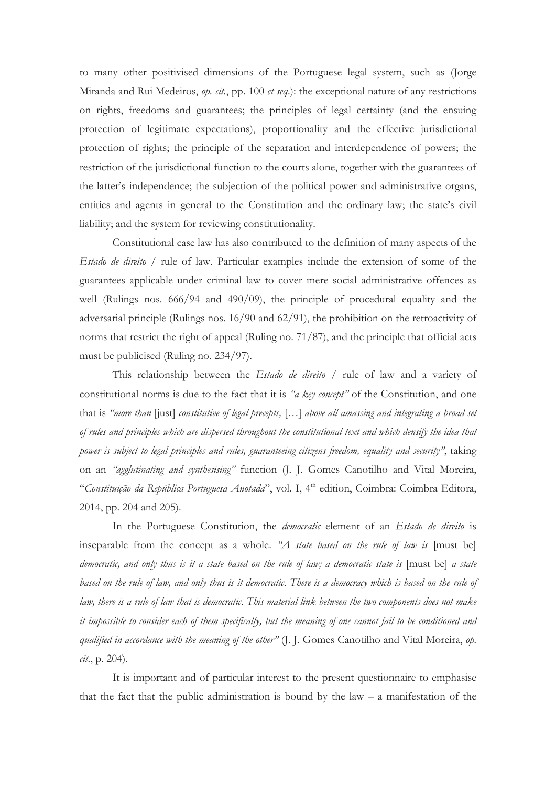to many other positivised dimensions of the Portuguese legal system, such as (Jorge Miranda and Rui Medeiros, *op. cit.*, pp. 100 *et seq*.): the exceptional nature of any restrictions on rights, freedoms and guarantees; the principles of legal certainty (and the ensuing protection of legitimate expectations), proportionality and the effective jurisdictional protection of rights; the principle of the separation and interdependence of powers; the restriction of the jurisdictional function to the courts alone, together with the guarantees of the latter's independence; the subjection of the political power and administrative organs, entities and agents in general to the Constitution and the ordinary law; the state's civil liability; and the system for reviewing constitutionality.

Constitutional case law has also contributed to the definition of many aspects of the *Estado de direito* / rule of law. Particular examples include the extension of some of the guarantees applicable under criminal law to cover mere social administrative offences as well (Rulings nos. 666/94 and 490/09), the principle of procedural equality and the adversarial principle (Rulings nos. 16/90 and 62/91), the prohibition on the retroactivity of norms that restrict the right of appeal (Ruling no. 71/87), and the principle that official acts must be publicised (Ruling no. 234/97).

This relationship between the *Estado de direito* / rule of law and a variety of constitutional norms is due to the fact that it is *"a key concept"* of the Constitution, and one that is *"more than* [just] *constitutive of legal precepts,* […] *above all amassing and integrating a broad set of rules and principles which are dispersed throughout the constitutional text and which densify the idea that power is subject to legal principles and rules, guaranteeing citizens freedom, equality and security"*, taking on an *"agglutinating and synthesising"* function (J. J. Gomes Canotilho and Vital Moreira, "Constituição da República Portuguesa Anotada", vol. I, 4<sup>th</sup> edition, Coimbra: Coimbra Editora, 2014, pp. 204 and 205).

In the Portuguese Constitution, the *democratic* element of an *Estado de direito* is inseparable from the concept as a whole. *"A state based on the rule of law is* [must be] *democratic, and only thus is it a state based on the rule of law; a democratic state is* [must be] *a state based on the rule of law, and only thus is it democratic. There is a democracy which is based on the rule of law, there is a rule of law that is democratic. This material link between the two components does not make it impossible to consider each of them specifically, but the meaning of one cannot fail to be conditioned and qualified in accordance with the meaning of the other"* (J. J. Gomes Canotilho and Vital Moreira, *op. cit*., p. 204).

It is important and of particular interest to the present questionnaire to emphasise that the fact that the public administration is bound by the law  $-$  a manifestation of the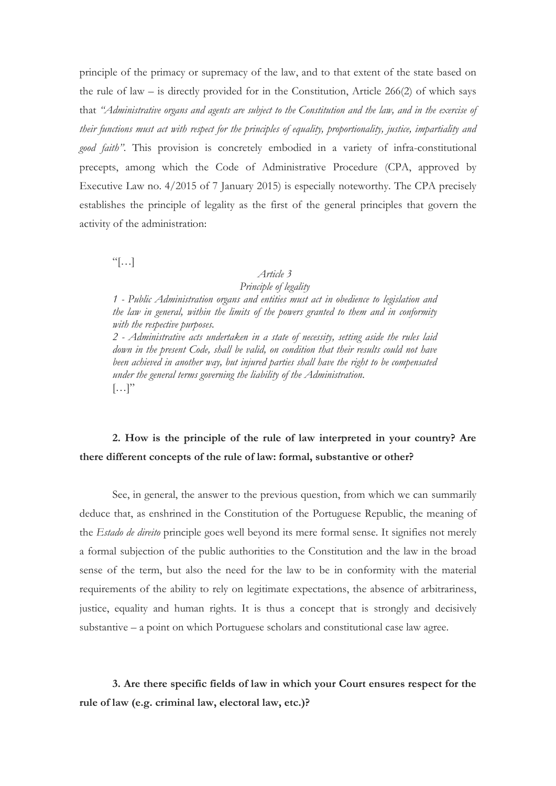principle of the primacy or supremacy of the law, and to that extent of the state based on the rule of law – is directly provided for in the Constitution, Article 266(2) of which says that *"Administrative organs and agents are subject to the Constitution and the law, and in the exercise of their functions must act with respect for the principles of equality, proportionality, justice, impartiality and good faith"*. This provision is concretely embodied in a variety of infra-constitutional precepts, among which the Code of Administrative Procedure (CPA, approved by Executive Law no. 4/2015 of 7 January 2015) is especially noteworthy. The CPA precisely establishes the principle of legality as the first of the general principles that govern the activity of the administration:

 $\lceil \cdot \rceil$ 

#### *Article 3*

#### *Principle of legality*

*1 - Public Administration organs and entities must act in obedience to legislation and the law in general, within the limits of the powers granted to them and in conformity with the respective purposes.* 

*2 - Administrative acts undertaken in a state of necessity, setting aside the rules laid down in the present Code, shall be valid, on condition that their results could not have been achieved in another way, but injured parties shall have the right to be compensated under the general terms governing the liability of the Administration.*  $\left[\ldots\right]$ "

# **2. How is the principle of the rule of law interpreted in your country? Are there different concepts of the rule of law: formal, substantive or other?**

See, in general, the answer to the previous question, from which we can summarily deduce that, as enshrined in the Constitution of the Portuguese Republic, the meaning of the *Estado de direito* principle goes well beyond its mere formal sense. It signifies not merely a formal subjection of the public authorities to the Constitution and the law in the broad sense of the term, but also the need for the law to be in conformity with the material requirements of the ability to rely on legitimate expectations, the absence of arbitrariness, justice, equality and human rights. It is thus a concept that is strongly and decisively substantive – a point on which Portuguese scholars and constitutional case law agree.

**3. Are there specific fields of law in which your Court ensures respect for the rule of law (e.g. criminal law, electoral law, etc.)?**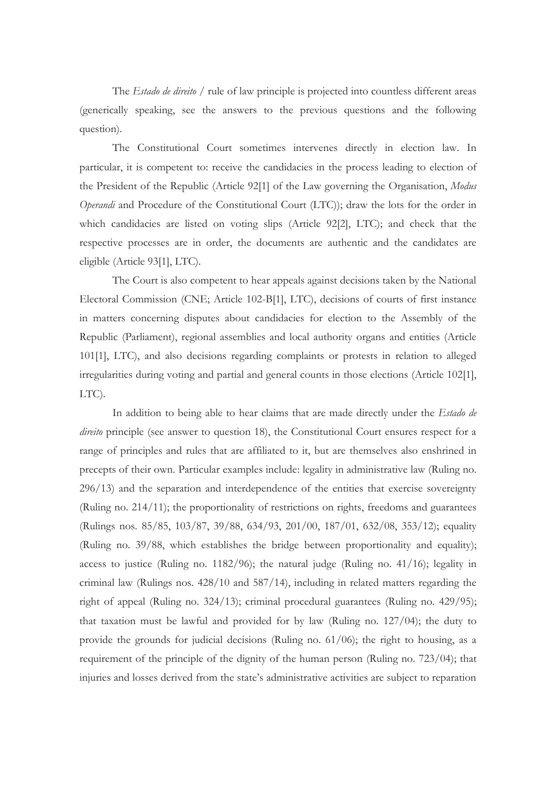The *Estado de direito* / rule of law principle is projected into countless different areas (generically speaking, see the answers to the previous questions and the following question).

The Constitutional Court sometimes intervenes directly in election law. In particular, it is competent to: receive the candidacies in the process leading to election of the President of the Republic (Article 92[1] of the Law governing the Organisation, *Modus Operandi* and Procedure of the Constitutional Court (LTC)); draw the lots for the order in which candidacies are listed on voting slips (Article 92[2], LTC); and check that the respective processes are in order, the documents are authentic and the candidates are eligible (Article 93[1], LTC).

The Court is also competent to hear appeals against decisions taken by the National Electoral Commission (CNE; Article 102-B[1], LTC), decisions of courts of first instance in matters concerning disputes about candidacies for election to the Assembly of the Republic (Parliament), regional assemblies and local authority organs and entities (Article 101[1], LTC), and also decisions regarding complaints or protests in relation to alleged irregularities during voting and partial and general counts in those elections (Article 102[1], LTC).

In addition to being able to hear claims that are made directly under the *Estado de direito* principle (see answer to question 18), the Constitutional Court ensures respect for a range of principles and rules that are affiliated to it, but are themselves also enshrined in precepts of their own. Particular examples include: legality in administrative law (Ruling no. 296/13) and the separation and interdependence of the entities that exercise sovereignty (Ruling no. 214/11); the proportionality of restrictions on rights, freedoms and guarantees (Rulings nos. 85/85, 103/87, 39/88, 634/93, 201/00, 187/01, 632/08, 353/12); equality (Ruling no. 39/88, which establishes the bridge between proportionality and equality); access to justice (Ruling no. 1182/96); the natural judge (Ruling no. 41/16); legality in criminal law (Rulings nos. 428/10 and 587/14), including in related matters regarding the right of appeal (Ruling no. 324/13); criminal procedural guarantees (Ruling no. 429/95); that taxation must be lawful and provided for by law (Ruling no. 127/04); the duty to provide the grounds for judicial decisions (Ruling no. 61/06); the right to housing, as a requirement of the principle of the dignity of the human person (Ruling no. 723/04); that injuries and losses derived from the state's administrative activities are subject to reparation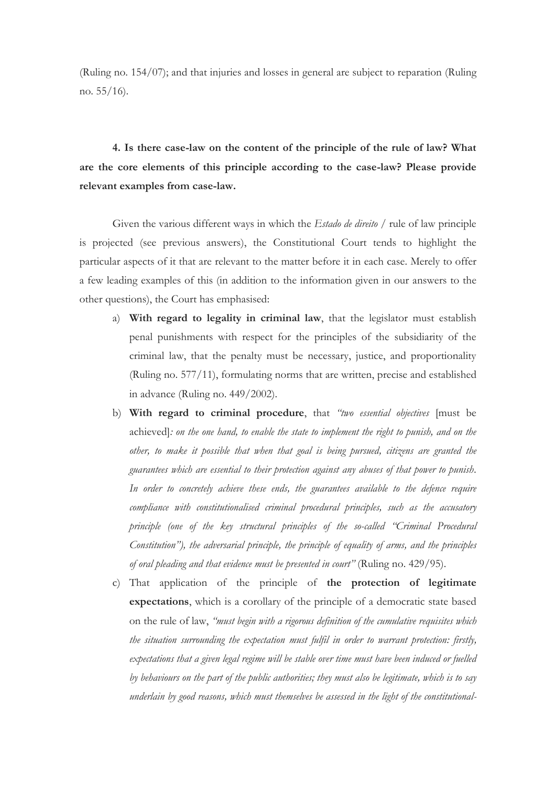(Ruling no. 154/07); and that injuries and losses in general are subject to reparation (Ruling no. 55/16).

**4. Is there case-law on the content of the principle of the rule of law? What are the core elements of this principle according to the case-law? Please provide relevant examples from case-law.**

Given the various different ways in which the *Estado de direito* / rule of law principle is projected (see previous answers), the Constitutional Court tends to highlight the particular aspects of it that are relevant to the matter before it in each case. Merely to offer a few leading examples of this (in addition to the information given in our answers to the other questions), the Court has emphasised:

- a) **With regard to legality in criminal law**, that the legislator must establish penal punishments with respect for the principles of the subsidiarity of the criminal law, that the penalty must be necessary, justice, and proportionality (Ruling no. 577/11), formulating norms that are written, precise and established in advance (Ruling no. 449/2002).
- b) **With regard to criminal procedure**, that *"two essential objectives* [must be achieved]*: on the one hand, to enable the state to implement the right to punish, and on the other, to make it possible that when that goal is being pursued, citizens are granted the guarantees which are essential to their protection against any abuses of that power to punish. In order to concretely achieve these ends, the guarantees available to the defence require compliance with constitutionalised criminal procedural principles, such as the accusatory principle (one of the key structural principles of the so-called "Criminal Procedural Constitution"), the adversarial principle, the principle of equality of arms, and the principles of oral pleading and that evidence must be presented in court"* (Ruling no. 429/95).
- c) That application of the principle of **the protection of legitimate expectations**, which is a corollary of the principle of a democratic state based on the rule of law, *"must begin with a rigorous definition of the cumulative requisites which the situation surrounding the expectation must fulfil in order to warrant protection: firstly, expectations that a given legal regime will be stable over time must have been induced or fuelled by behaviours on the part of the public authorities; they must also be legitimate, which is to say underlain by good reasons, which must themselves be assessed in the light of the constitutional-*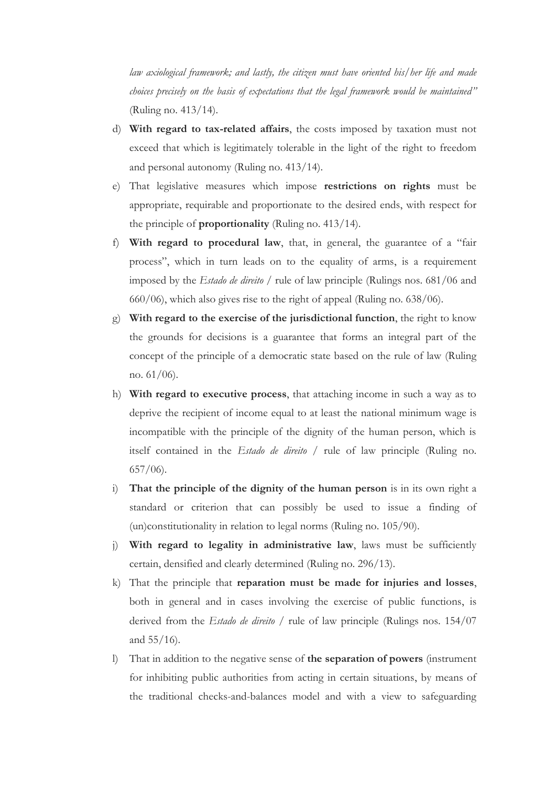*law axiological framework; and lastly, the citizen must have oriented his/her life and made choices precisely on the basis of expectations that the legal framework would be maintained"* (Ruling no. 413/14).

- d) **With regard to tax-related affairs**, the costs imposed by taxation must not exceed that which is legitimately tolerable in the light of the right to freedom and personal autonomy (Ruling no. 413/14).
- e) That legislative measures which impose **restrictions on rights** must be appropriate, requirable and proportionate to the desired ends, with respect for the principle of **proportionality** (Ruling no. 413/14).
- f) **With regard to procedural law**, that, in general, the guarantee of a "fair process", which in turn leads on to the equality of arms, is a requirement imposed by the *Estado de direito* / rule of law principle (Rulings nos. 681/06 and 660/06), which also gives rise to the right of appeal (Ruling no. 638/06).
- g) **With regard to the exercise of the jurisdictional function**, the right to know the grounds for decisions is a guarantee that forms an integral part of the concept of the principle of a democratic state based on the rule of law (Ruling no. 61/06).
- h) **With regard to executive process**, that attaching income in such a way as to deprive the recipient of income equal to at least the national minimum wage is incompatible with the principle of the dignity of the human person, which is itself contained in the *Estado de direito* / rule of law principle (Ruling no. 657/06).
- i) **That the principle of the dignity of the human person** is in its own right a standard or criterion that can possibly be used to issue a finding of (un)constitutionality in relation to legal norms (Ruling no. 105/90).
- j) **With regard to legality in administrative law**, laws must be sufficiently certain, densified and clearly determined (Ruling no. 296/13).
- k) That the principle that **reparation must be made for injuries and losses**, both in general and in cases involving the exercise of public functions, is derived from the *Estado de direito* / rule of law principle (Rulings nos. 154/07 and 55/16).
- l) That in addition to the negative sense of **the separation of powers** (instrument for inhibiting public authorities from acting in certain situations, by means of the traditional checks-and-balances model and with a view to safeguarding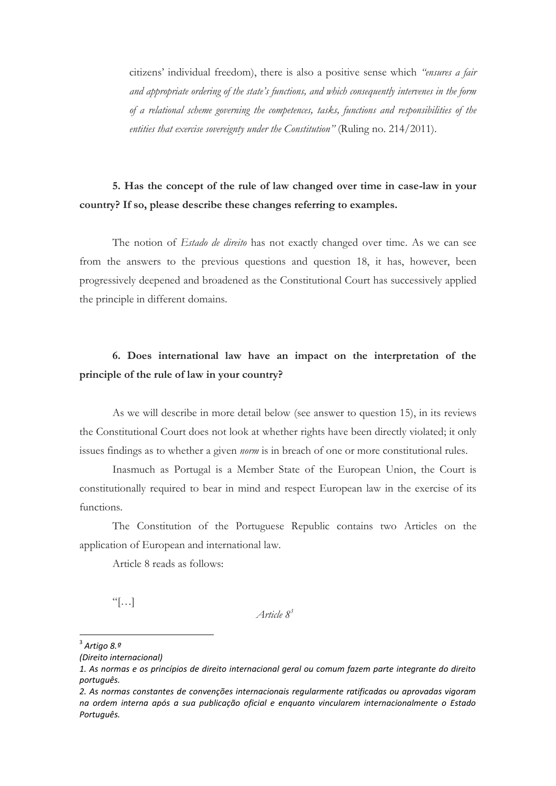citizens' individual freedom), there is also a positive sense which *"ensures a fair and appropriate ordering of the state's functions, and which consequently intervenes in the form of a relational scheme governing the competences, tasks, functions and responsibilities of the entities that exercise sovereignty under the Constitution"* (Ruling no. 214/2011).

# **5. Has the concept of the rule of law changed over time in case-law in your country? If so, please describe these changes referring to examples.**

The notion of *Estado de direito* has not exactly changed over time. As we can see from the answers to the previous questions and question 18, it has, however, been progressively deepened and broadened as the Constitutional Court has successively applied the principle in different domains.

#### **6. Does international law have an impact on the interpretation of the principle of the rule of law in your country?**

As we will describe in more detail below (see answer to question 15), in its reviews the Constitutional Court does not look at whether rights have been directly violated; it only issues findings as to whether a given *norm* is in breach of one or more constitutional rules.

Inasmuch as Portugal is a Member State of the European Union, the Court is constitutionally required to bear in mind and respect European law in the exercise of its functions.

The Constitution of the Portuguese Republic contains two Articles on the application of European and international law.

Article 8 reads as follows:

 $\left[\ldots\right]$ 

*Article 8 3*

 3 *Artigo 8.º*

*<sup>(</sup>Direito internacional)*

*<sup>1.</sup> As normas e os princípios de direito internacional geral ou comum fazem parte integrante do direito português.*

*<sup>2.</sup> As normas constantes de convenções internacionais regularmente ratificadas ou aprovadas vigoram na ordem interna após a sua publicação oficial e enquanto vincularem internacionalmente o Estado Português.*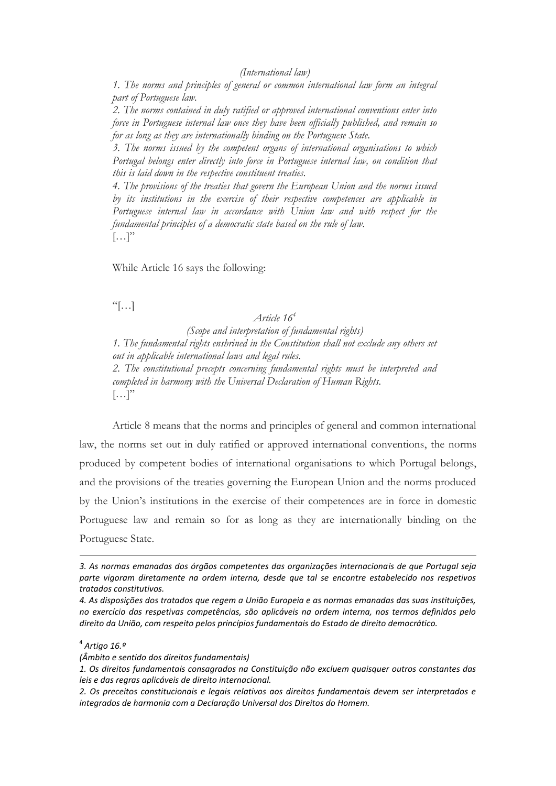*1. The norms and principles of general or common international law form an integral part of Portuguese law.*

*2. The norms contained in duly ratified or approved international conventions enter into force in Portuguese internal law once they have been officially published, and remain so for as long as they are internationally binding on the Portuguese State.*

*3. The norms issued by the competent organs of international organisations to which Portugal belongs enter directly into force in Portuguese internal law, on condition that this is laid down in the respective constituent treaties.*

*4. The provisions of the treaties that govern the European Union and the norms issued by its institutions in the exercise of their respective competences are applicable in Portuguese internal law in accordance with Union law and with respect for the fundamental principles of a democratic state based on the rule of law.*  $\left[\ldots\right]$ "

While Article 16 says the following:

 $\left[\cdot\right]$ 

#### *Article 16<sup>4</sup>*

*(Scope and interpretation of fundamental rights) 1. The fundamental rights enshrined in the Constitution shall not exclude any others set out in applicable international laws and legal rules. 2. The constitutional precepts concerning fundamental rights must be interpreted and completed in harmony with the Universal Declaration of Human Rights.*  $[\ldots]$ "

Article 8 means that the norms and principles of general and common international law, the norms set out in duly ratified or approved international conventions, the norms produced by competent bodies of international organisations to which Portugal belongs, and the provisions of the treaties governing the European Union and the norms produced by the Union's institutions in the exercise of their competences are in force in domestic Portuguese law and remain so for as long as they are internationally binding on the Portuguese State.

1

*<sup>3.</sup> As normas emanadas dos órgãos competentes das organizações internacionais de que Portugal seja parte vigoram diretamente na ordem interna, desde que tal se encontre estabelecido nos respetivos tratados constitutivos.*

*<sup>4.</sup> As disposições dos tratados que regem a União Europeia e as normas emanadas das suas instituições, no exercício das respetivas competências, são aplicáveis na ordem interna, nos termos definidos pelo direito da União, com respeito pelos princípios fundamentais do Estado de direito democrático.*

<sup>4</sup> *Artigo 16.º*

*<sup>(</sup>Âmbito e sentido dos direitos fundamentais)*

*<sup>1.</sup> Os direitos fundamentais consagrados na Constituição não excluem quaisquer outros constantes das leis e das regras aplicáveis de direito internacional.* 

*<sup>2.</sup> Os preceitos constitucionais e legais relativos aos direitos fundamentais devem ser interpretados e integrados de harmonia com a Declaração Universal dos Direitos do Homem.*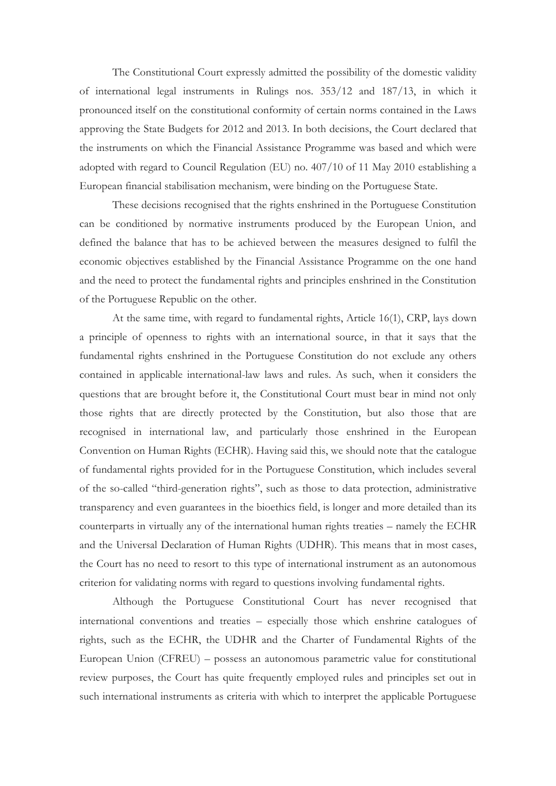The Constitutional Court expressly admitted the possibility of the domestic validity of international legal instruments in Rulings nos. 353/12 and 187/13, in which it pronounced itself on the constitutional conformity of certain norms contained in the Laws approving the State Budgets for 2012 and 2013. In both decisions, the Court declared that the instruments on which the Financial Assistance Programme was based and which were adopted with regard to Council Regulation (EU) no. 407/10 of 11 May 2010 establishing a European financial stabilisation mechanism, were binding on the Portuguese State.

These decisions recognised that the rights enshrined in the Portuguese Constitution can be conditioned by normative instruments produced by the European Union, and defined the balance that has to be achieved between the measures designed to fulfil the economic objectives established by the Financial Assistance Programme on the one hand and the need to protect the fundamental rights and principles enshrined in the Constitution of the Portuguese Republic on the other.

At the same time, with regard to fundamental rights, Article 16(1), CRP, lays down a principle of openness to rights with an international source, in that it says that the fundamental rights enshrined in the Portuguese Constitution do not exclude any others contained in applicable international-law laws and rules. As such, when it considers the questions that are brought before it, the Constitutional Court must bear in mind not only those rights that are directly protected by the Constitution, but also those that are recognised in international law, and particularly those enshrined in the European Convention on Human Rights (ECHR). Having said this, we should note that the catalogue of fundamental rights provided for in the Portuguese Constitution, which includes several of the so-called "third-generation rights", such as those to data protection, administrative transparency and even guarantees in the bioethics field, is longer and more detailed than its counterparts in virtually any of the international human rights treaties – namely the ECHR and the Universal Declaration of Human Rights (UDHR). This means that in most cases, the Court has no need to resort to this type of international instrument as an autonomous criterion for validating norms with regard to questions involving fundamental rights.

Although the Portuguese Constitutional Court has never recognised that international conventions and treaties – especially those which enshrine catalogues of rights, such as the ECHR, the UDHR and the Charter of Fundamental Rights of the European Union (CFREU) – possess an autonomous parametric value for constitutional review purposes, the Court has quite frequently employed rules and principles set out in such international instruments as criteria with which to interpret the applicable Portuguese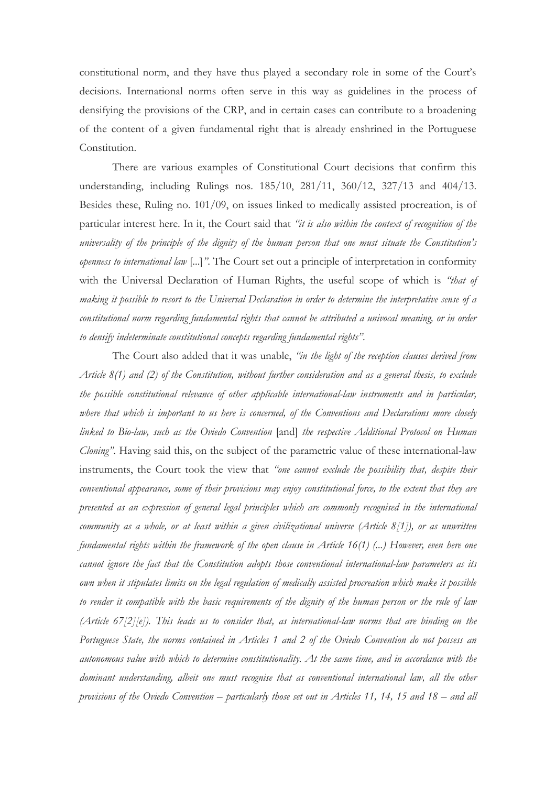constitutional norm, and they have thus played a secondary role in some of the Court's decisions. International norms often serve in this way as guidelines in the process of densifying the provisions of the CRP, and in certain cases can contribute to a broadening of the content of a given fundamental right that is already enshrined in the Portuguese Constitution.

There are various examples of Constitutional Court decisions that confirm this understanding, including Rulings nos. 185/10, 281/11, 360/12, 327/13 and 404/13. Besides these, Ruling no. 101/09, on issues linked to medically assisted procreation, is of particular interest here. In it, the Court said that *"it is also within the context of recognition of the universality of the principle of the dignity of the human person that one must situate the Constitution's openness to international law* [...]*"*. The Court set out a principle of interpretation in conformity with the Universal Declaration of Human Rights, the useful scope of which is *"that of making it possible to resort to the Universal Declaration in order to determine the interpretative sense of a constitutional norm regarding fundamental rights that cannot be attributed a univocal meaning, or in order to densify indeterminate constitutional concepts regarding fundamental rights"*.

The Court also added that it was unable, *"in the light of the reception clauses derived from Article 8(1) and (2) of the Constitution, without further consideration and as a general thesis, to exclude the possible constitutional relevance of other applicable international-law instruments and in particular, where that which is important to us here is concerned, of the Conventions and Declarations more closely linked to Bio-law, such as the Oviedo Convention* [and] *the respective Additional Protocol on Human Cloning"*. Having said this, on the subject of the parametric value of these international-law instruments, the Court took the view that *"one cannot exclude the possibility that, despite their conventional appearance, some of their provisions may enjoy constitutional force, to the extent that they are presented as an expression of general legal principles which are commonly recognised in the international community as a whole, or at least within a given civilizational universe (Article 8[1]), or as unwritten fundamental rights within the framework of the open clause in Article 16(1) (...) However, even here one cannot ignore the fact that the Constitution adopts those conventional international-law parameters as its own when it stipulates limits on the legal regulation of medically assisted procreation which make it possible to render it compatible with the basic requirements of the dignity of the human person or the rule of law (Article 67[2][e]). This leads us to consider that, as international-law norms that are binding on the Portuguese State, the norms contained in Articles 1 and 2 of the Oviedo Convention do not possess an autonomous value with which to determine constitutionality. At the same time, and in accordance with the dominant understanding, albeit one must recognise that as conventional international law, all the other provisions of the Oviedo Convention – particularly those set out in Articles 11, 14, 15 and 18 – and all*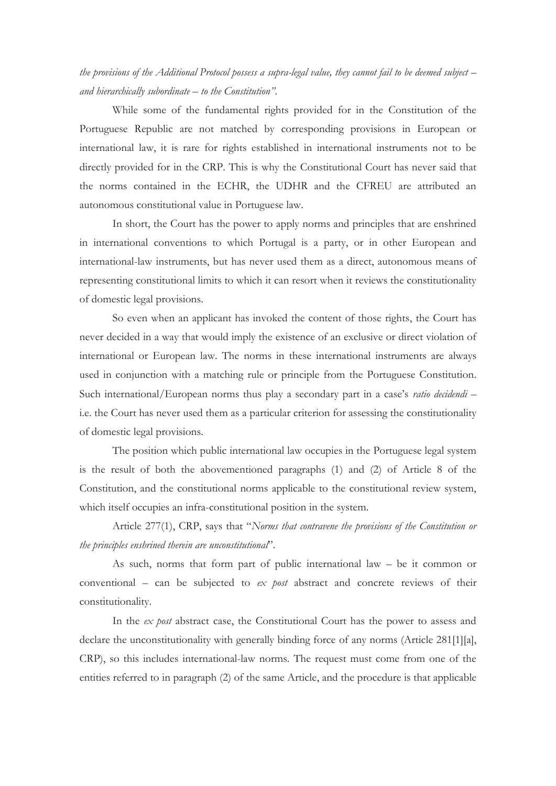*the provisions of the Additional Protocol possess a supra-legal value, they cannot fail to be deemed subject* – *and hierarchically subordinate – to the Constitution"*.

While some of the fundamental rights provided for in the Constitution of the Portuguese Republic are not matched by corresponding provisions in European or international law, it is rare for rights established in international instruments not to be directly provided for in the CRP. This is why the Constitutional Court has never said that the norms contained in the ECHR, the UDHR and the CFREU are attributed an autonomous constitutional value in Portuguese law.

In short, the Court has the power to apply norms and principles that are enshrined in international conventions to which Portugal is a party, or in other European and international-law instruments, but has never used them as a direct, autonomous means of representing constitutional limits to which it can resort when it reviews the constitutionality of domestic legal provisions.

So even when an applicant has invoked the content of those rights, the Court has never decided in a way that would imply the existence of an exclusive or direct violation of international or European law. The norms in these international instruments are always used in conjunction with a matching rule or principle from the Portuguese Constitution. Such international/European norms thus play a secondary part in a case's *ratio decidendi* – i.e. the Court has never used them as a particular criterion for assessing the constitutionality of domestic legal provisions.

The position which public international law occupies in the Portuguese legal system is the result of both the abovementioned paragraphs (1) and (2) of Article 8 of the Constitution, and the constitutional norms applicable to the constitutional review system, which itself occupies an infra-constitutional position in the system.

Article 277(1), CRP, says that "*Norms that contravene the provisions of the Constitution or the principles enshrined therein are unconstitutional*".

As such, norms that form part of public international law – be it common or conventional – can be subjected to *ex post* abstract and concrete reviews of their constitutionality.

In the *ex post* abstract case, the Constitutional Court has the power to assess and declare the unconstitutionality with generally binding force of any norms (Article 281[1][a], CRP), so this includes international-law norms. The request must come from one of the entities referred to in paragraph (2) of the same Article, and the procedure is that applicable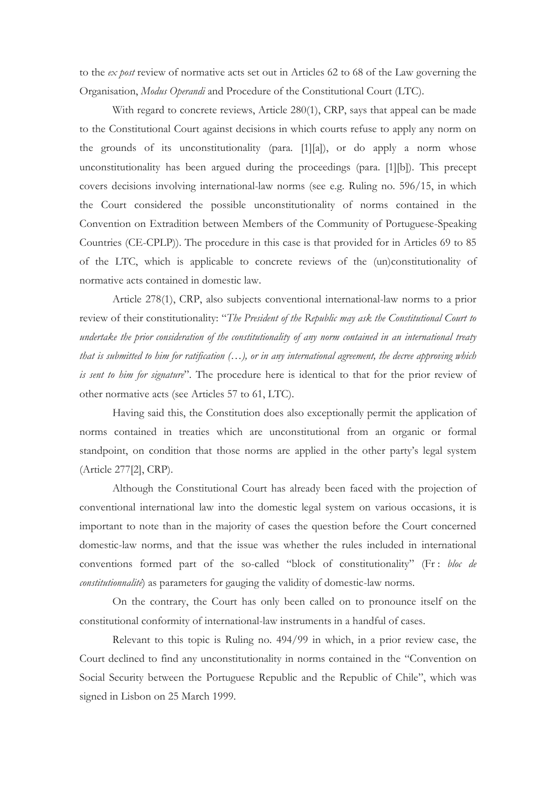to the *ex post* review of normative acts set out in Articles 62 to 68 of the Law governing the Organisation, *Modus Operandi* and Procedure of the Constitutional Court (LTC).

With regard to concrete reviews, Article 280(1), CRP, says that appeal can be made to the Constitutional Court against decisions in which courts refuse to apply any norm on the grounds of its unconstitutionality (para. [1][a]), or do apply a norm whose unconstitutionality has been argued during the proceedings (para. [1][b]). This precept covers decisions involving international-law norms (see e.g. Ruling no. 596/15, in which the Court considered the possible unconstitutionality of norms contained in the Convention on Extradition between Members of the Community of Portuguese-Speaking Countries (CE-CPLP)). The procedure in this case is that provided for in Articles 69 to 85 of the LTC, which is applicable to concrete reviews of the (un)constitutionality of normative acts contained in domestic law.

Article 278(1), CRP, also subjects conventional international-law norms to a prior review of their constitutionality: "*The President of the Republic may ask the Constitutional Court to undertake the prior consideration of the constitutionality of any norm contained in an international treaty that is submitted to him for ratification (…), or in any international agreement, the decree approving which is sent to him for signature*". The procedure here is identical to that for the prior review of other normative acts (see Articles 57 to 61, LTC).

Having said this, the Constitution does also exceptionally permit the application of norms contained in treaties which are unconstitutional from an organic or formal standpoint, on condition that those norms are applied in the other party's legal system (Article 277[2], CRP).

Although the Constitutional Court has already been faced with the projection of conventional international law into the domestic legal system on various occasions, it is important to note than in the majority of cases the question before the Court concerned domestic-law norms, and that the issue was whether the rules included in international conventions formed part of the so-called "block of constitutionality" (Fr : *bloc de constitutionnalité*) as parameters for gauging the validity of domestic-law norms.

On the contrary, the Court has only been called on to pronounce itself on the constitutional conformity of international-law instruments in a handful of cases.

Relevant to this topic is Ruling no. 494/99 in which, in a prior review case, the Court declined to find any unconstitutionality in norms contained in the "Convention on Social Security between the Portuguese Republic and the Republic of Chile", which was signed in Lisbon on 25 March 1999.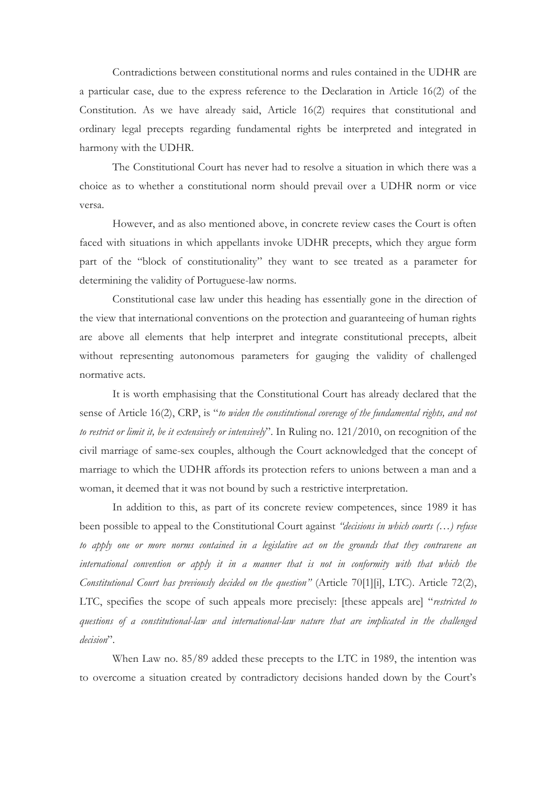Contradictions between constitutional norms and rules contained in the UDHR are a particular case, due to the express reference to the Declaration in Article 16(2) of the Constitution. As we have already said, Article 16(2) requires that constitutional and ordinary legal precepts regarding fundamental rights be interpreted and integrated in harmony with the UDHR.

The Constitutional Court has never had to resolve a situation in which there was a choice as to whether a constitutional norm should prevail over a UDHR norm or vice versa.

However, and as also mentioned above, in concrete review cases the Court is often faced with situations in which appellants invoke UDHR precepts, which they argue form part of the "block of constitutionality" they want to see treated as a parameter for determining the validity of Portuguese-law norms.

Constitutional case law under this heading has essentially gone in the direction of the view that international conventions on the protection and guaranteeing of human rights are above all elements that help interpret and integrate constitutional precepts, albeit without representing autonomous parameters for gauging the validity of challenged normative acts.

It is worth emphasising that the Constitutional Court has already declared that the sense of Article 16(2), CRP, is "*to widen the constitutional coverage of the fundamental rights, and not to restrict or limit it, be it extensively or intensively*". In Ruling no. 121/2010, on recognition of the civil marriage of same-sex couples, although the Court acknowledged that the concept of marriage to which the UDHR affords its protection refers to unions between a man and a woman, it deemed that it was not bound by such a restrictive interpretation.

In addition to this, as part of its concrete review competences, since 1989 it has been possible to appeal to the Constitutional Court against *"decisions in which courts (…) refuse to apply one or more norms contained in a legislative act on the grounds that they contravene an international convention or apply it in a manner that is not in conformity with that which the Constitutional Court has previously decided on the question"* (Article 70[1][i], LTC). Article 72(2), LTC, specifies the scope of such appeals more precisely: [these appeals are] "*restricted to questions of a constitutional-law and international-law nature that are implicated in the challenged decision*".

When Law no. 85/89 added these precepts to the LTC in 1989, the intention was to overcome a situation created by contradictory decisions handed down by the Court's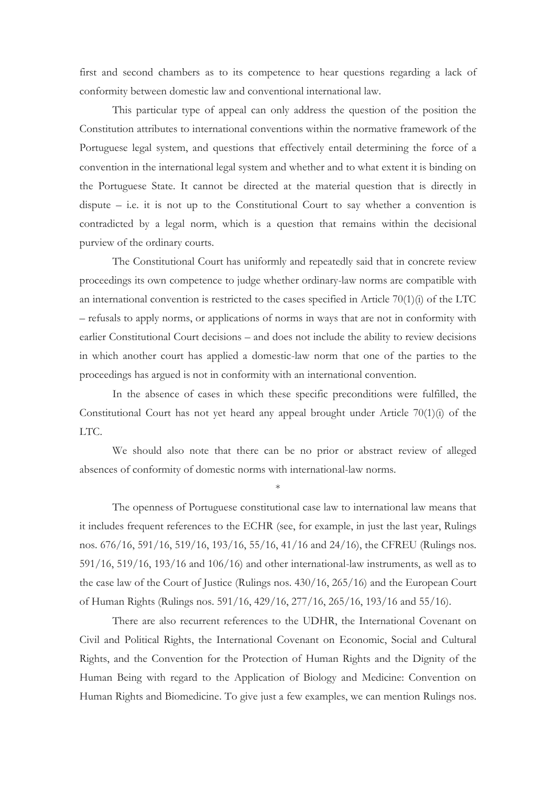first and second chambers as to its competence to hear questions regarding a lack of conformity between domestic law and conventional international law.

This particular type of appeal can only address the question of the position the Constitution attributes to international conventions within the normative framework of the Portuguese legal system, and questions that effectively entail determining the force of a convention in the international legal system and whether and to what extent it is binding on the Portuguese State. It cannot be directed at the material question that is directly in dispute  $-$  i.e. it is not up to the Constitutional Court to say whether a convention is contradicted by a legal norm, which is a question that remains within the decisional purview of the ordinary courts.

The Constitutional Court has uniformly and repeatedly said that in concrete review proceedings its own competence to judge whether ordinary-law norms are compatible with an international convention is restricted to the cases specified in Article  $70(1)(i)$  of the LTC – refusals to apply norms, or applications of norms in ways that are not in conformity with earlier Constitutional Court decisions – and does not include the ability to review decisions in which another court has applied a domestic-law norm that one of the parties to the proceedings has argued is not in conformity with an international convention.

In the absence of cases in which these specific preconditions were fulfilled, the Constitutional Court has not yet heard any appeal brought under Article 70(1)(i) of the LTC.

We should also note that there can be no prior or abstract review of alleged absences of conformity of domestic norms with international-law norms.

\*

The openness of Portuguese constitutional case law to international law means that it includes frequent references to the ECHR (see, for example, in just the last year, Rulings nos. 676/16, 591/16, 519/16, 193/16, 55/16, 41/16 and 24/16), the CFREU (Rulings nos. 591/16, 519/16, 193/16 and 106/16) and other international-law instruments, as well as to the case law of the Court of Justice (Rulings nos. 430/16, 265/16) and the European Court of Human Rights (Rulings nos. 591/16, 429/16, 277/16, 265/16, 193/16 and 55/16).

There are also recurrent references to the UDHR, the International Covenant on Civil and Political Rights, the International Covenant on Economic, Social and Cultural Rights, and the Convention for the Protection of Human Rights and the Dignity of the Human Being with regard to the Application of Biology and Medicine: Convention on Human Rights and Biomedicine. To give just a few examples, we can mention Rulings nos.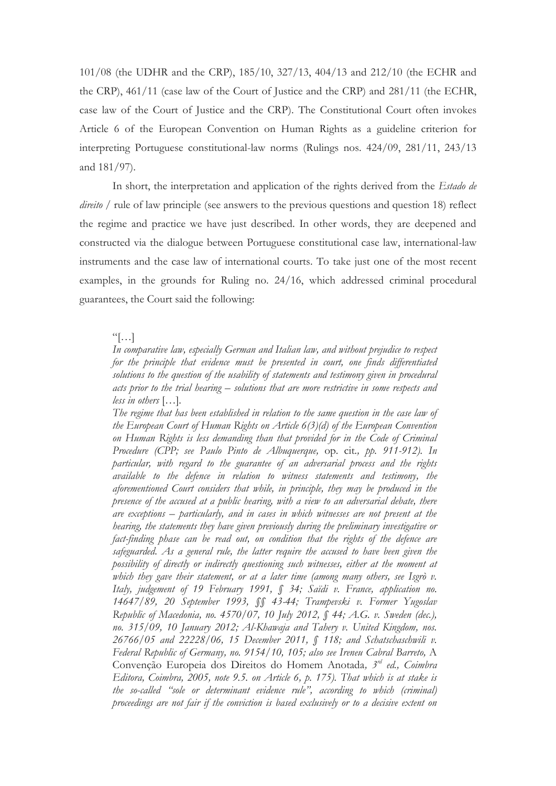101/08 (the UDHR and the CRP), 185/10, 327/13, 404/13 and 212/10 (the ECHR and the CRP), 461/11 (case law of the Court of Justice and the CRP) and 281/11 (the ECHR, case law of the Court of Justice and the CRP). The Constitutional Court often invokes Article 6 of the European Convention on Human Rights as a guideline criterion for interpreting Portuguese constitutional-law norms (Rulings nos. 424/09, 281/11, 243/13 and 181/97).

In short, the interpretation and application of the rights derived from the *Estado de direito* / rule of law principle (see answers to the previous questions and question 18) reflect the regime and practice we have just described. In other words, they are deepened and constructed via the dialogue between Portuguese constitutional case law, international-law instruments and the case law of international courts. To take just one of the most recent examples, in the grounds for Ruling no. 24/16, which addressed criminal procedural guarantees, the Court said the following:

#### $``[...]$

*In comparative law, especially German and Italian law, and without prejudice to respect for the principle that evidence must be presented in court, one finds differentiated solutions to the question of the usability of statements and testimony given in procedural acts prior to the trial hearing – solutions that are more restrictive in some respects and less in others* […]*.* 

*The regime that has been established in relation to the same question in the case law of the European Court of Human Rights on Article 6(3)(d) of the European Convention on Human Rights is less demanding than that provided for in the Code of Criminal Procedure (CPP; see Paulo Pinto de Albuquerque,* op. cit*., pp. 911-912). In particular, with regard to the guarantee of an adversarial process and the rights available to the defence in relation to witness statements and testimony, the aforementioned Court considers that while, in principle, they may be produced in the presence of the accused at a public hearing, with a view to an adversarial debate, there are exceptions – particularly, and in cases in which witnesses are not present at the hearing, the statements they have given previously during the preliminary investigative or fact-finding phase can be read out, on condition that the rights of the defence are safeguarded. As a general rule, the latter require the accused to have been given the possibility of directly or indirectly questioning such witnesses, either at the moment at which they gave their statement, or at a later time (among many others, see Isgrò v. Italy, judgement of 19 February 1991, § 34; Saïdi v. France, application no. 14647/89, 20 September 1993, §§ 43-44; Trampevski v. Former Yugoslav Republic of Macedonia, no. 4570/07, 10 July 2012, § 44; A.G. v. Sweden (dec.), no. 315/09, 10 January 2012; Al-Khawaja and Tahery v. United Kingdom, nos. 26766/05 and 22228/06, 15 December 2011, § 118; and Schatschaschwili v. Federal Republic of Germany, no. 9154/10, 105; also see Ireneu Cabral Barreto,* A Convenção Europeia dos Direitos do Homem Anotada*, 3 rd ed., Coimbra Editora, Coimbra, 2005, note 9.5. on Article 6, p. 175). That which is at stake is the so-called "sole or determinant evidence rule", according to which (criminal) proceedings are not fair if the conviction is based exclusively or to a decisive extent on*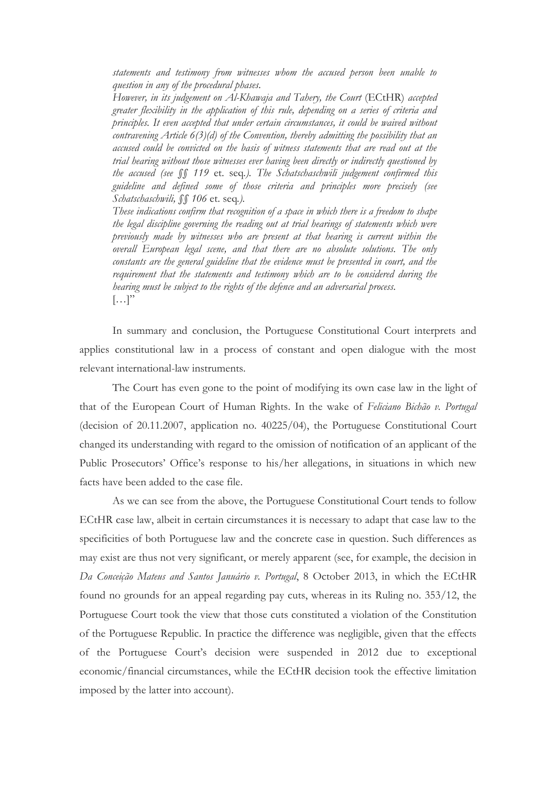*statements and testimony from witnesses whom the accused person been unable to question in any of the procedural phases.* 

*However, in its judgement on Al-Khawaja and Tahery, the Court* (ECtHR) *accepted greater flexibility in the application of this rule, depending on a series of criteria and principles. It even accepted that under certain circumstances, it could be waived without contravening Article 6(3)(d) of the Convention, thereby admitting the possibility that an accused could be convicted on the basis of witness statements that are read out at the trial hearing without those witnesses ever having been directly or indirectly questioned by the accused (see §§ 119* et. seq*.). The Schatschaschwili judgement confirmed this guideline and defined some of those criteria and principles more precisely (see Schatschaschwili, §§ 106* et. seq*.).* 

*These indications confirm that recognition of a space in which there is a freedom to shape the legal discipline governing the reading out at trial hearings of statements which were previously made by witnesses who are present at that hearing is current within the overall European legal scene, and that there are no absolute solutions. The only constants are the general guideline that the evidence must be presented in court, and the requirement that the statements and testimony which are to be considered during the hearing must be subject to the rights of the defence and an adversarial process.*  $\left[\ldots\right]$ "

In summary and conclusion, the Portuguese Constitutional Court interprets and applies constitutional law in a process of constant and open dialogue with the most relevant international-law instruments.

The Court has even gone to the point of modifying its own case law in the light of that of the European Court of Human Rights. In the wake of *Feliciano Bichão v. Portugal* (decision of 20.11.2007, application no. 40225/04), the Portuguese Constitutional Court changed its understanding with regard to the omission of notification of an applicant of the Public Prosecutors' Office's response to his/her allegations, in situations in which new facts have been added to the case file.

As we can see from the above, the Portuguese Constitutional Court tends to follow ECtHR case law, albeit in certain circumstances it is necessary to adapt that case law to the specificities of both Portuguese law and the concrete case in question. Such differences as may exist are thus not very significant, or merely apparent (see, for example, the decision in *Da Conceição Mateus and Santos Januário v. Portugal*, 8 October 2013, in which the ECtHR found no grounds for an appeal regarding pay cuts, whereas in its Ruling no. 353/12, the Portuguese Court took the view that those cuts constituted a violation of the Constitution of the Portuguese Republic. In practice the difference was negligible, given that the effects of the Portuguese Court's decision were suspended in 2012 due to exceptional economic/financial circumstances, while the ECtHR decision took the effective limitation imposed by the latter into account).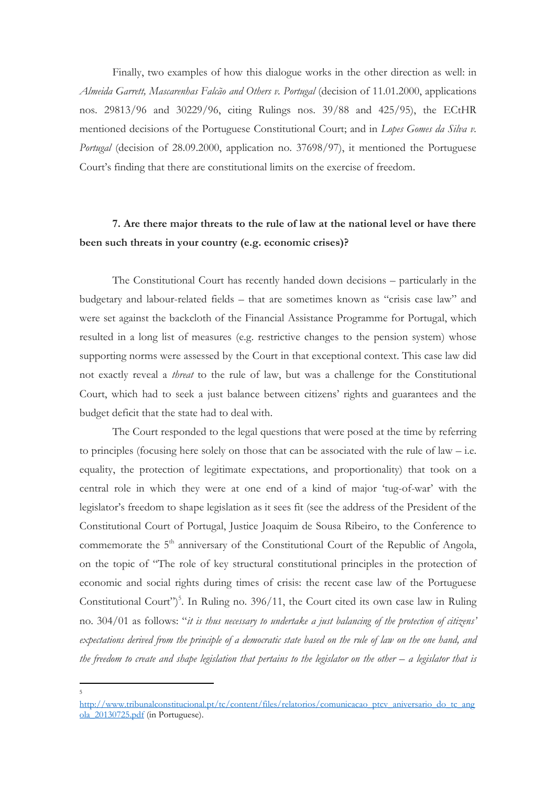Finally, two examples of how this dialogue works in the other direction as well: in *Almeida Garrett, Mascarenhas Falcão and Others v. Portugal* (decision of 11.01.2000, applications nos. 29813/96 and 30229/96, citing Rulings nos. 39/88 and 425/95), the ECtHR mentioned decisions of the Portuguese Constitutional Court; and in *Lopes Gomes da Silva v. Portugal* (decision of 28.09.2000, application no. 37698/97), it mentioned the Portuguese Court's finding that there are constitutional limits on the exercise of freedom.

# **7. Are there major threats to the rule of law at the national level or have there been such threats in your country (e.g. economic crises)?**

The Constitutional Court has recently handed down decisions – particularly in the budgetary and labour-related fields – that are sometimes known as "crisis case law" and were set against the backcloth of the Financial Assistance Programme for Portugal, which resulted in a long list of measures (e.g. restrictive changes to the pension system) whose supporting norms were assessed by the Court in that exceptional context. This case law did not exactly reveal a *threat* to the rule of law, but was a challenge for the Constitutional Court, which had to seek a just balance between citizens' rights and guarantees and the budget deficit that the state had to deal with.

The Court responded to the legal questions that were posed at the time by referring to principles (focusing here solely on those that can be associated with the rule of law – i.e. equality, the protection of legitimate expectations, and proportionality) that took on a central role in which they were at one end of a kind of major 'tug-of-war' with the legislator's freedom to shape legislation as it sees fit (see the address of the President of the Constitutional Court of Portugal, Justice Joaquim de Sousa Ribeiro, to the Conference to commemorate the 5<sup>th</sup> anniversary of the Constitutional Court of the Republic of Angola, on the topic of "The role of key structural constitutional principles in the protection of economic and social rights during times of crisis: the recent case law of the Portuguese Constitutional Court")<sup>5</sup>. In Ruling no. 396/11, the Court cited its own case law in Ruling no. 304/01 as follows: "*it is thus necessary to undertake a just balancing of the protection of citizens' expectations derived from the principle of a democratic state based on the rule of law on the one hand, and the freedom to create and shape legislation that pertains to the legislator on the other – a legislator that is* 

1 5

[http://www.tribunalconstitucional.pt/tc/content/files/relatorios/comunicacao\\_ptcv\\_aniversario\\_do\\_tc\\_ang](http://www.tribunalconstitucional.pt/tc/content/files/relatorios/comunicacao_ptcv_aniversario_do_tc_angola_20130725.pdf) [ola\\_20130725.pdf](http://www.tribunalconstitucional.pt/tc/content/files/relatorios/comunicacao_ptcv_aniversario_do_tc_angola_20130725.pdf) (in Portuguese).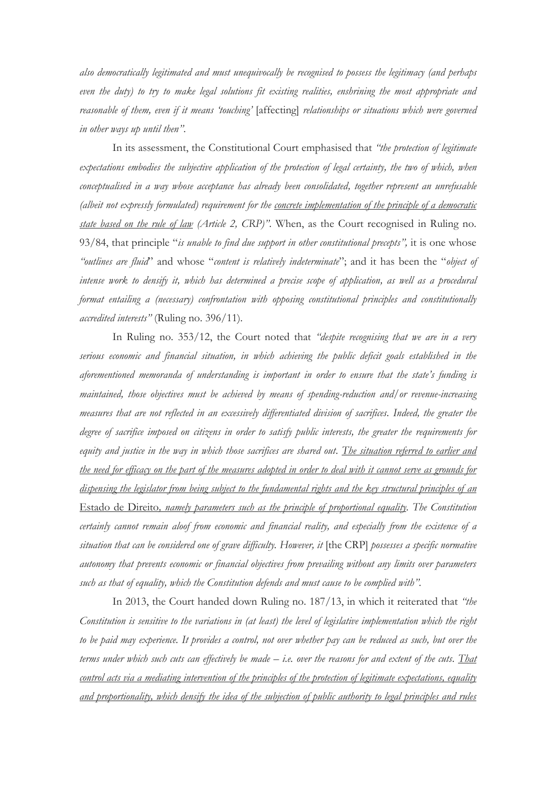*also democratically legitimated and must unequivocally be recognised to possess the legitimacy (and perhaps even the duty) to try to make legal solutions fit existing realities, enshrining the most appropriate and reasonable of them, even if it means 'touching'* [affecting] *relationships or situations which were governed in other ways up until then"*.

In its assessment, the Constitutional Court emphasised that *"the protection of legitimate expectations embodies the subjective application of the protection of legal certainty, the two of which, when conceptualised in a way whose acceptance has already been consolidated, together represent an unrefusable (albeit not expressly formulated) requirement for the concrete implementation of the principle of a democratic state based on the rule of law (Article 2, CRP)"*. When, as the Court recognised in Ruling no. 93/84, that principle "*is unable to find due support in other constitutional precepts",* it is one whose *"outlines are fluid*" and whose "*content is relatively indeterminate*"; and it has been the "*object of intense work to densify it, which has determined a precise scope of application, as well as a procedural format entailing a (necessary) confrontation with opposing constitutional principles and constitutionally accredited interests"* (Ruling no. 396/11)*.*

In Ruling no. 353/12, the Court noted that *"despite recognising that we are in a very serious economic and financial situation, in which achieving the public deficit goals established in the aforementioned memoranda of understanding is important in order to ensure that the state's funding is maintained, those objectives must be achieved by means of spending-reduction and/or revenue-increasing measures that are not reflected in an excessively differentiated division of sacrifices. Indeed, the greater the degree of sacrifice imposed on citizens in order to satisfy public interests, the greater the requirements for equity and justice in the way in which those sacrifices are shared out. The situation referred to earlier and the need for efficacy on the part of the measures adopted in order to deal with it cannot serve as grounds for dispensing the legislator from being subject to the fundamental rights and the key structural principles of an* Estado de Direito*, namely parameters such as the principle of proportional equality. The Constitution certainly cannot remain aloof from economic and financial reality, and especially from the existence of a situation that can be considered one of grave difficulty. However, it* [the CRP] *possesses a specific normative autonomy that prevents economic or financial objectives from prevailing without any limits over parameters such as that of equality, which the Constitution defends and must cause to be complied with".*

In 2013, the Court handed down Ruling no. 187/13, in which it reiterated that *"the Constitution is sensitive to the variations in (at least) the level of legislative implementation which the right to be paid may experience. It provides a control, not over whether pay can be reduced as such, but over the terms under which such cuts can effectively be made – i.e. over the reasons for and extent of the cuts. That control acts via a mediating intervention of the principles of the protection of legitimate expectations, equality and proportionality, which densify the idea of the subjection of public authority to legal principles and rules*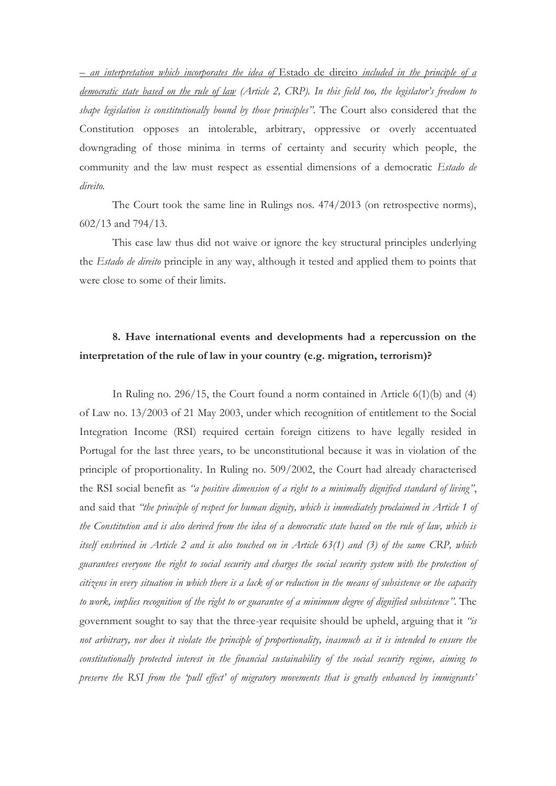*– an interpretation which incorporates the idea of* Estado de direito *included in the principle of a democratic state based on the rule of law (Article 2, CRP). In this field too, the legislator's freedom to shape legislation is constitutionally bound by those principles"*. The Court also considered that the Constitution opposes an intolerable, arbitrary, oppressive or overly accentuated downgrading of those minima in terms of certainty and security which people, the community and the law must respect as essential dimensions of a democratic *Estado de direito.*

The Court took the same line in Rulings nos. 474/2013 (on retrospective norms), 602/13 and 794/13.

This case law thus did not waive or ignore the key structural principles underlying the *Estado de direito* principle in any way, although it tested and applied them to points that were close to some of their limits.

## **8. Have international events and developments had a repercussion on the interpretation of the rule of law in your country (e.g. migration, terrorism)?**

In Ruling no. 296/15, the Court found a norm contained in Article 6(1)(b) and (4) of Law no. 13/2003 of 21 May 2003, under which recognition of entitlement to the Social Integration Income (RSI) required certain foreign citizens to have legally resided in Portugal for the last three years, to be unconstitutional because it was in violation of the principle of proportionality. In Ruling no. 509/2002, the Court had already characterised the RSI social benefit as *"a positive dimension of a right to a minimally dignified standard of living"*, and said that *"the principle of respect for human dignity, which is immediately proclaimed in Article 1 of the Constitution and is also derived from the idea of a democratic state based on the rule of law, which is itself enshrined in Article 2 and is also touched on in Article 63(1) and (3) of the same CRP, which guarantees everyone the right to social security and charges the social security system with the protection of citizens in every situation in which there is a lack of or reduction in the means of subsistence or the capacity to work, implies recognition of the right to or guarantee of a minimum degree of dignified subsistence"*. The government sought to say that the three-year requisite should be upheld, arguing that it *"is not arbitrary, nor does it violate the principle of proportionality, inasmuch as it is intended to ensure the constitutionally protected interest in the financial sustainability of the social security regime, aiming to preserve the RSI from the 'pull effect' of migratory movements that is greatly enhanced by immigrants'*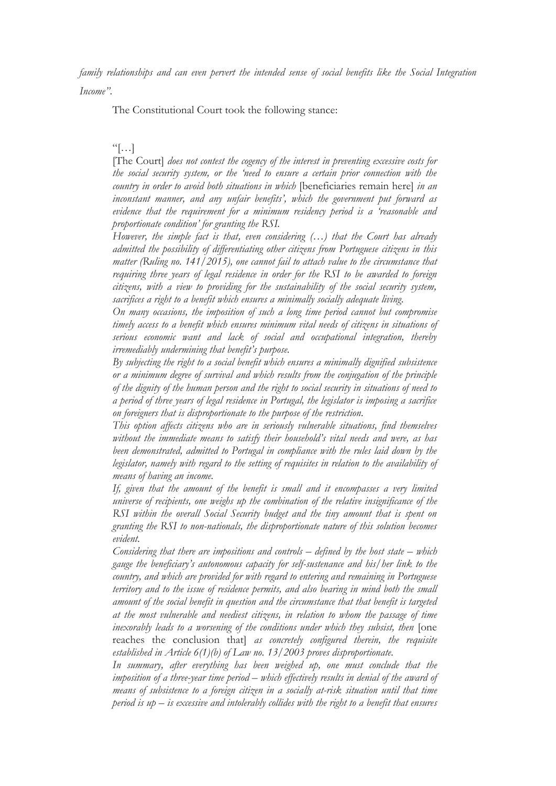*family relationships and can even pervert the intended sense of social benefits like the Social Integration Income"*.

The Constitutional Court took the following stance:

#### $\left[\cdot\right]$

[The Court] *does not contest the cogency of the interest in preventing excessive costs for the social security system, or the 'need to ensure a certain prior connection with the country in order to avoid both situations in which* [beneficiaries remain here] *in an inconstant manner, and any unfair benefits', which the government put forward as evidence that the requirement for a minimum residency period is a 'reasonable and proportionate condition' for granting the RSI.*

*However, the simple fact is that, even considering (…) that the Court has already admitted the possibility of differentiating other citizens from Portuguese citizens in this matter (Ruling no. 141/2015), one cannot fail to attach value to the circumstance that requiring three years of legal residence in order for the RSI to be awarded to foreign citizens, with a view to providing for the sustainability of the social security system, sacrifices a right to a benefit which ensures a minimally socially adequate living.* 

*On many occasions, the imposition of such a long time period cannot but compromise timely access to a benefit which ensures minimum vital needs of citizens in situations of serious economic want and lack of social and occupational integration, thereby irremediably undermining that benefit's purpose.*

*By subjecting the right to a social benefit which ensures a minimally dignified subsistence or a minimum degree of survival and which results from the conjugation of the principle of the dignity of the human person and the right to social security in situations of need to a period of three years of legal residence in Portugal, the legislator is imposing a sacrifice on foreigners that is disproportionate to the purpose of the restriction.*

*This option affects citizens who are in seriously vulnerable situations, find themselves without the immediate means to satisfy their household's vital needs and were, as has been demonstrated, admitted to Portugal in compliance with the rules laid down by the legislator, namely with regard to the setting of requisites in relation to the availability of means of having an income.*

*If, given that the amount of the benefit is small and it encompasses a very limited universe of recipients, one weighs up the combination of the relative insignificance of the RSI within the overall Social Security budget and the tiny amount that is spent on granting the RSI to non-nationals, the disproportionate nature of this solution becomes evident.*

*Considering that there are impositions and controls – defined by the host state – which gauge the beneficiary's autonomous capacity for self-sustenance and his/her link to the country, and which are provided for with regard to entering and remaining in Portuguese territory and to the issue of residence permits, and also bearing in mind both the small amount of the social benefit in question and the circumstance that that benefit is targeted at the most vulnerable and neediest citizens, in relation to whom the passage of time inexorably leads to a worsening of the conditions under which they subsist, then* [one reaches the conclusion that] *as concretely configured therein, the requisite established in Article 6(1)(b) of Law no. 13/2003 proves disproportionate.* 

*In summary, after everything has been weighed up, one must conclude that the imposition of a three-year time period – which effectively results in denial of the award of means of subsistence to a foreign citizen in a socially at-risk situation until that time period is up – is excessive and intolerably collides with the right to a benefit that ensures*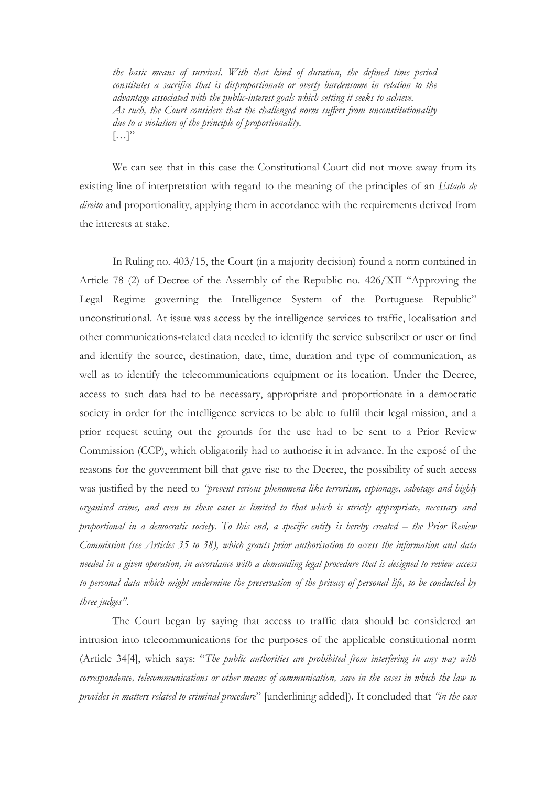*the basic means of survival. With that kind of duration, the defined time period constitutes a sacrifice that is disproportionate or overly burdensome in relation to the advantage associated with the public-interest goals which setting it seeks to achieve. As such, the Court considers that the challenged norm suffers from unconstitutionality due to a violation of the principle of proportionality.*  $\left[\ldots\right]$ "

We can see that in this case the Constitutional Court did not move away from its existing line of interpretation with regard to the meaning of the principles of an *Estado de direito* and proportionality, applying them in accordance with the requirements derived from the interests at stake.

In Ruling no. 403/15, the Court (in a majority decision) found a norm contained in Article 78 (2) of Decree of the Assembly of the Republic no. 426/XII "Approving the Legal Regime governing the Intelligence System of the Portuguese Republic" unconstitutional. At issue was access by the intelligence services to traffic, localisation and other communications-related data needed to identify the service subscriber or user or find and identify the source, destination, date, time, duration and type of communication, as well as to identify the telecommunications equipment or its location. Under the Decree, access to such data had to be necessary, appropriate and proportionate in a democratic society in order for the intelligence services to be able to fulfil their legal mission, and a prior request setting out the grounds for the use had to be sent to a Prior Review Commission (CCP), which obligatorily had to authorise it in advance. In the exposé of the reasons for the government bill that gave rise to the Decree, the possibility of such access was justified by the need to *"prevent serious phenomena like terrorism, espionage, sabotage and highly organised crime, and even in these cases is limited to that which is strictly appropriate, necessary and proportional in a democratic society. To this end, a specific entity is hereby created – the Prior Review Commission (see Articles 35 to 38), which grants prior authorisation to access the information and data needed in a given operation, in accordance with a demanding legal procedure that is designed to review access to personal data which might undermine the preservation of the privacy of personal life, to be conducted by three judges"*.

The Court began by saying that access to traffic data should be considered an intrusion into telecommunications for the purposes of the applicable constitutional norm (Article 34[4], which says: "*The public authorities are prohibited from interfering in any way with correspondence, telecommunications or other means of communication, save in the cases in which the law so provides in matters related to criminal procedure*" [underlining added]). It concluded that *"in the case*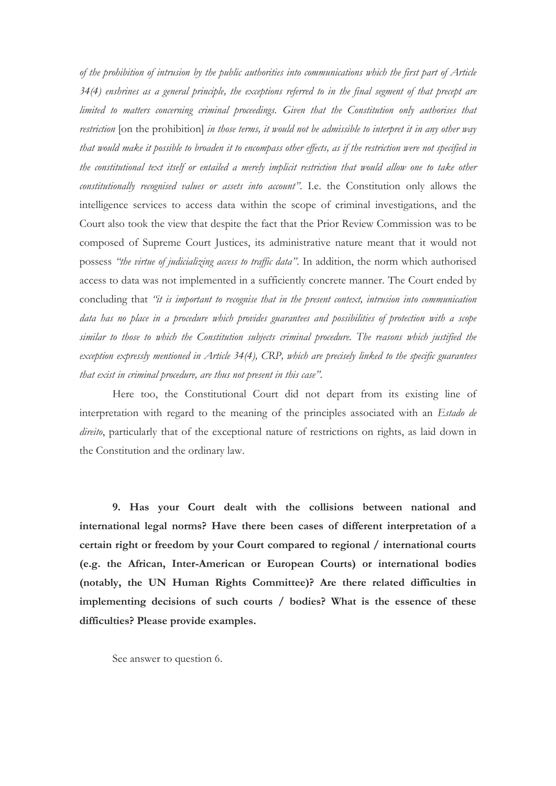*of the prohibition of intrusion by the public authorities into communications which the first part of Article 34(4) enshrines as a general principle, the exceptions referred to in the final segment of that precept are limited to matters concerning criminal proceedings. Given that the Constitution only authorises that restriction* [on the prohibition] *in those terms, it would not be admissible to interpret it in any other way that would make it possible to broaden it to encompass other effects, as if the restriction were not specified in the constitutional text itself or entailed a merely implicit restriction that would allow one to take other constitutionally recognised values or assets into account"*. I.e. the Constitution only allows the intelligence services to access data within the scope of criminal investigations, and the Court also took the view that despite the fact that the Prior Review Commission was to be composed of Supreme Court Justices, its administrative nature meant that it would not possess *"the virtue of judicializing access to traffic data"*. In addition, the norm which authorised access to data was not implemented in a sufficiently concrete manner. The Court ended by concluding that *"it is important to recognise that in the present context, intrusion into communication data has no place in a procedure which provides guarantees and possibilities of protection with a scope similar to those to which the Constitution subjects criminal procedure. The reasons which justified the exception expressly mentioned in Article 34(4), CRP, which are precisely linked to the specific guarantees that exist in criminal procedure, are thus not present in this case"*.

Here too, the Constitutional Court did not depart from its existing line of interpretation with regard to the meaning of the principles associated with an *Estado de direito*, particularly that of the exceptional nature of restrictions on rights, as laid down in the Constitution and the ordinary law.

**9. Has your Court dealt with the collisions between national and international legal norms? Have there been cases of different interpretation of a certain right or freedom by your Court compared to regional / international courts (e.g. the African, Inter-American or European Courts) or international bodies (notably, the UN Human Rights Committee)? Are there related difficulties in implementing decisions of such courts / bodies? What is the essence of these difficulties? Please provide examples.**

See answer to question 6.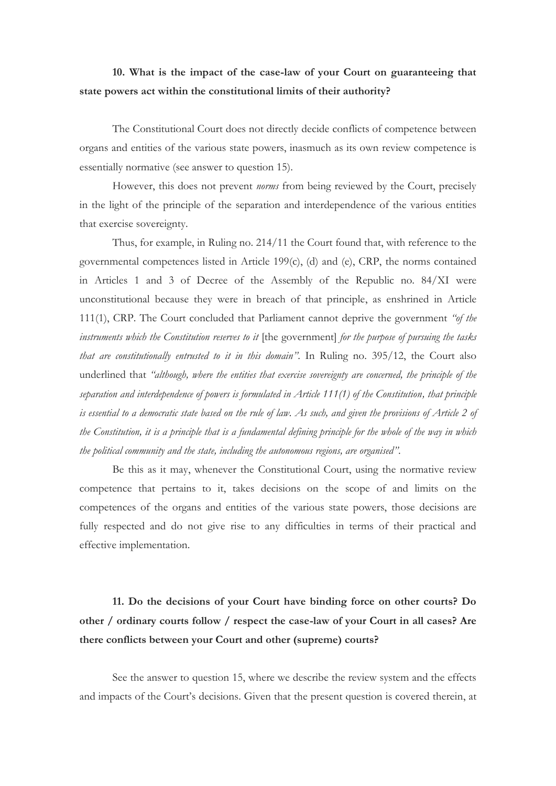## **10. What is the impact of the case-law of your Court on guaranteeing that state powers act within the constitutional limits of their authority?**

The Constitutional Court does not directly decide conflicts of competence between organs and entities of the various state powers, inasmuch as its own review competence is essentially normative (see answer to question 15).

However, this does not prevent *norms* from being reviewed by the Court, precisely in the light of the principle of the separation and interdependence of the various entities that exercise sovereignty.

Thus, for example, in Ruling no. 214/11 the Court found that, with reference to the governmental competences listed in Article 199(c), (d) and (e), CRP, the norms contained in Articles 1 and 3 of Decree of the Assembly of the Republic no. 84/XI were unconstitutional because they were in breach of that principle, as enshrined in Article 111(1), CRP. The Court concluded that Parliament cannot deprive the government *"of the instruments which the Constitution reserves to it* [the government] *for the purpose of pursuing the tasks that are constitutionally entrusted to it in this domain"*. In Ruling no. 395/12, the Court also underlined that *"although, where the entities that exercise sovereignty are concerned, the principle of the separation and interdependence of powers is formulated in Article 111(1) of the Constitution, that principle is essential to a democratic state based on the rule of law. As such, and given the provisions of Article 2 of the Constitution, it is a principle that is a fundamental defining principle for the whole of the way in which the political community and the state, including the autonomous regions, are organised"*.

Be this as it may, whenever the Constitutional Court, using the normative review competence that pertains to it, takes decisions on the scope of and limits on the competences of the organs and entities of the various state powers, those decisions are fully respected and do not give rise to any difficulties in terms of their practical and effective implementation.

# **11. Do the decisions of your Court have binding force on other courts? Do other / ordinary courts follow / respect the case-law of your Court in all cases? Are there conflicts between your Court and other (supreme) courts?**

See the answer to question 15, where we describe the review system and the effects and impacts of the Court's decisions. Given that the present question is covered therein, at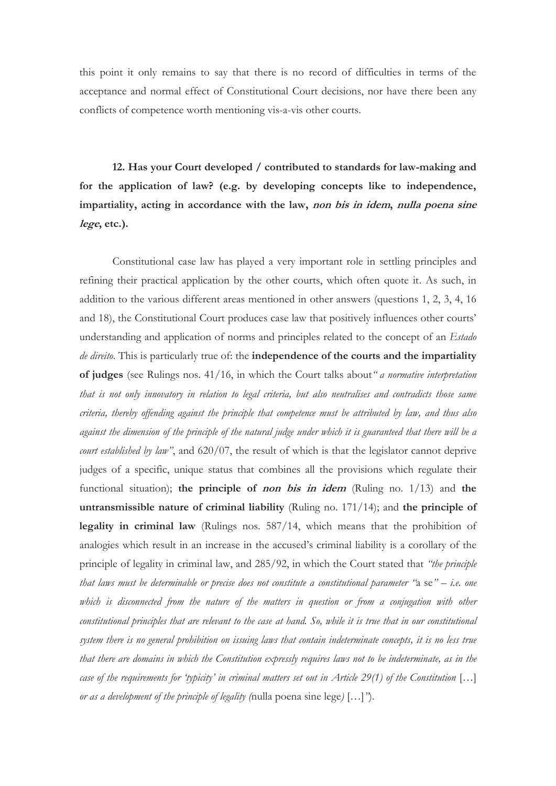this point it only remains to say that there is no record of difficulties in terms of the acceptance and normal effect of Constitutional Court decisions, nor have there been any conflicts of competence worth mentioning vis-a-vis other courts.

**12. Has your Court developed / contributed to standards for law-making and for the application of law? (e.g. by developing concepts like to independence, impartiality, acting in accordance with the law, non bis in idem, nulla poena sine lege, etc.).**

Constitutional case law has played a very important role in settling principles and refining their practical application by the other courts, which often quote it. As such, in addition to the various different areas mentioned in other answers (questions 1, 2, 3, 4, 16 and 18), the Constitutional Court produces case law that positively influences other courts' understanding and application of norms and principles related to the concept of an *Estado de direito*. This is particularly true of: the **independence of the courts and the impartiality of judges** (see Rulings nos. 41/16, in which the Court talks about*" a normative interpretation that is not only innovatory in relation to legal criteria, but also neutralises and contradicts those same criteria, thereby offending against the principle that competence must be attributed by law, and thus also against the dimension of the principle of the natural judge under which it is guaranteed that there will be a court established by law"*, and 620/07, the result of which is that the legislator cannot deprive judges of a specific, unique status that combines all the provisions which regulate their functional situation); **the principle of non bis in idem** (Ruling no. 1/13) and **the untransmissible nature of criminal liability** (Ruling no. 171/14); and **the principle of legality in criminal law** (Rulings nos. 587/14, which means that the prohibition of analogies which result in an increase in the accused's criminal liability is a corollary of the principle of legality in criminal law, and 285/92, in which the Court stated that *"the principle that laws must be determinable or precise does not constitute a constitutional parameter "*a se*" – i.e. one which is disconnected from the nature of the matters in question or from a conjugation with other constitutional principles that are relevant to the case at hand. So, while it is true that in our constitutional system there is no general prohibition on issuing laws that contain indeterminate concepts, it is no less true that there are domains in which the Constitution expressly requires laws not to be indeterminate, as in the case of the requirements for 'typicity' in criminal matters set out in Article 29(1) of the Constitution* […] *or as a development of the principle of legality (*nulla poena sine lege*)* […]*"*).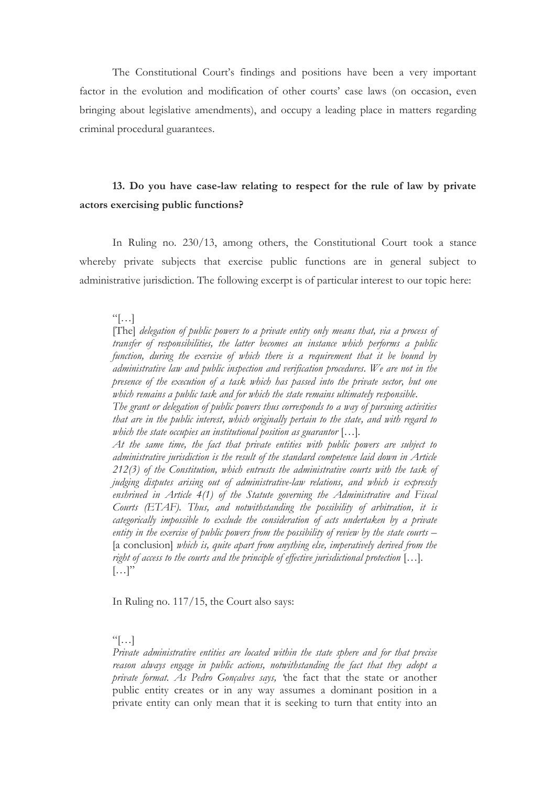The Constitutional Court's findings and positions have been a very important factor in the evolution and modification of other courts' case laws (on occasion, even bringing about legislative amendments), and occupy a leading place in matters regarding criminal procedural guarantees.

### **13. Do you have case-law relating to respect for the rule of law by private actors exercising public functions?**

In Ruling no. 230/13, among others, the Constitutional Court took a stance whereby private subjects that exercise public functions are in general subject to administrative jurisdiction. The following excerpt is of particular interest to our topic here:

 $\left[\ldots\right]$ 

[The] *delegation of public powers to a private entity only means that, via a process of transfer of responsibilities, the latter becomes an instance which performs a public function, during the exercise of which there is a requirement that it be bound by administrative law and public inspection and verification procedures. We are not in the presence of the execution of a task which has passed into the private sector, but one which remains a public task and for which the state remains ultimately responsible.*

*The grant or delegation of public powers thus corresponds to a way of pursuing activities that are in the public interest, which originally pertain to the state, and with regard to which the state occupies an institutional position as guarantor* […]*.*

*At the same time, the fact that private entities with public powers are subject to administrative jurisdiction is the result of the standard competence laid down in Article 212(3) of the Constitution, which entrusts the administrative courts with the task of judging disputes arising out of administrative-law relations, and which is expressly enshrined in Article 4(1) of the Statute governing the Administrative and Fiscal Courts (ETAF). Thus, and notwithstanding the possibility of arbitration, it is categorically impossible to exclude the consideration of acts undertaken by a private entity in the exercise of public powers from the possibility of review by the state courts –* [a conclusion] *which is, quite apart from anything else, imperatively derived from the right of access to the courts and the principle of effective jurisdictional protection* […]*.*  $[\ldots]$ "

In Ruling no. 117/15, the Court also says:

 $\left[\cdot\right]$ 

*Private administrative entities are located within the state sphere and for that precise reason always engage in public actions, notwithstanding the fact that they adopt a private format. As Pedro Gonçalves says, '*the fact that the state or another public entity creates or in any way assumes a dominant position in a private entity can only mean that it is seeking to turn that entity into an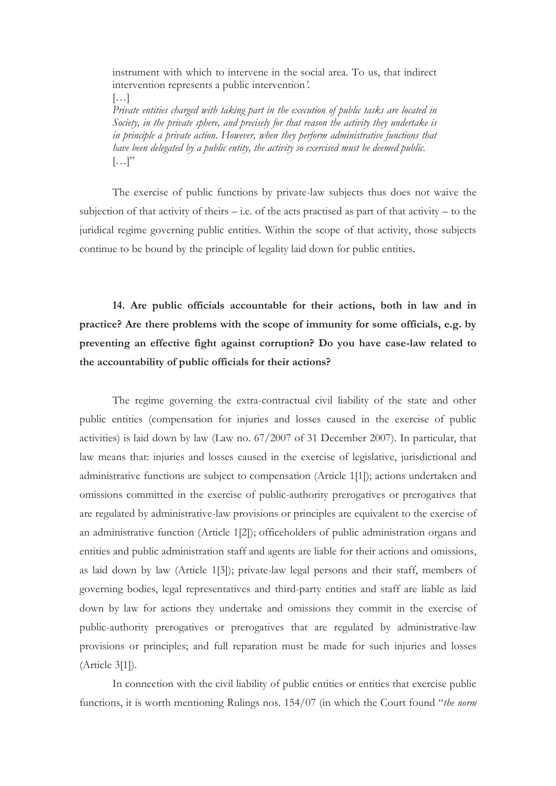instrument with which to intervene in the social area. To us, that indirect intervention represents a public intervention*'*. […] *Private entities charged with taking part in the execution of public tasks are located in Society, in the private sphere, and precisely for that reason the activity they undertake is in principle a private action. However, when they perform administrative functions that have been delegated by a public entity, the activity so exercised must be deemed public.*  $\left[\ldots\right]$ "

The exercise of public functions by private-law subjects thus does not waive the subjection of that activity of theirs – i.e. of the acts practised as part of that activity – to the juridical regime governing public entities. Within the scope of that activity, those subjects continue to be bound by the principle of legality laid down for public entities.

**14. Are public officials accountable for their actions, both in law and in practice? Are there problems with the scope of immunity for some officials, e.g. by preventing an effective fight against corruption? Do you have case-law related to the accountability of public officials for their actions?**

The regime governing the extra-contractual civil liability of the state and other public entities (compensation for injuries and losses caused in the exercise of public activities) is laid down by law (Law no. 67/2007 of 31 December 2007). In particular, that law means that: injuries and losses caused in the exercise of legislative, jurisdictional and administrative functions are subject to compensation (Article 1[1]); actions undertaken and omissions committed in the exercise of public-authority prerogatives or prerogatives that are regulated by administrative-law provisions or principles are equivalent to the exercise of an administrative function (Article 1[2]); officeholders of public administration organs and entities and public administration staff and agents are liable for their actions and omissions, as laid down by law (Article 1[3]); private-law legal persons and their staff, members of governing bodies, legal representatives and third-party entities and staff are liable as laid down by law for actions they undertake and omissions they commit in the exercise of public-authority prerogatives or prerogatives that are regulated by administrative-law provisions or principles; and full reparation must be made for such injuries and losses (Article 3[1]).

In connection with the civil liability of public entities or entities that exercise public functions, it is worth mentioning Rulings nos. 154/07 (in which the Court found "*the norm*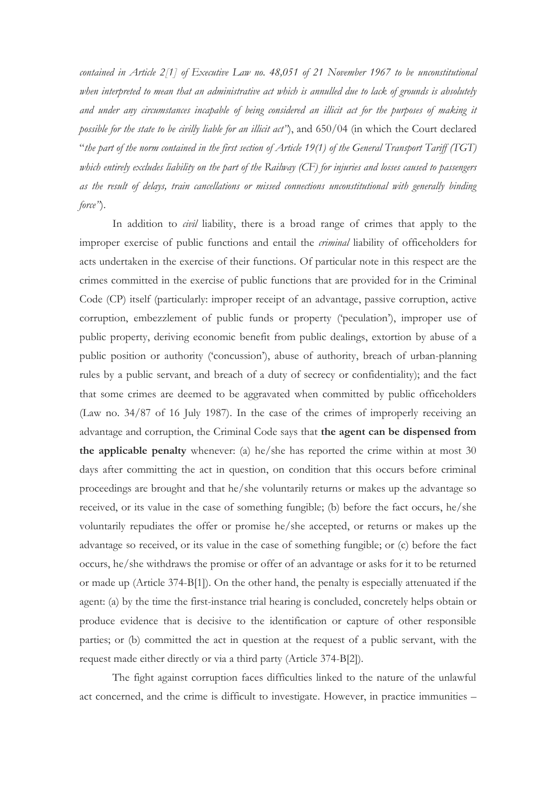*contained in Article 2[1] of Executive Law no. 48,051 of 21 November 1967 to be unconstitutional when interpreted to mean that an administrative act which is annulled due to lack of grounds is absolutely and under any circumstances incapable of being considered an illicit act for the purposes of making it possible for the state to be civilly liable for an illicit act"*), and 650/04 (in which the Court declared "*the part of the norm contained in the first section of Article 19(1) of the General Transport Tariff (TGT) which entirely excludes liability on the part of the Railway (CF) for injuries and losses caused to passengers as the result of delays, train cancellations or missed connections unconstitutional with generally binding force"*).

In addition to *civil* liability, there is a broad range of crimes that apply to the improper exercise of public functions and entail the *criminal* liability of officeholders for acts undertaken in the exercise of their functions. Of particular note in this respect are the crimes committed in the exercise of public functions that are provided for in the Criminal Code (CP) itself (particularly: improper receipt of an advantage, passive corruption, active corruption, embezzlement of public funds or property ('peculation'), improper use of public property, deriving economic benefit from public dealings, extortion by abuse of a public position or authority ('concussion'), abuse of authority, breach of urban-planning rules by a public servant, and breach of a duty of secrecy or confidentiality); and the fact that some crimes are deemed to be aggravated when committed by public officeholders (Law no. 34/87 of 16 July 1987). In the case of the crimes of improperly receiving an advantage and corruption, the Criminal Code says that **the agent can be dispensed from the applicable penalty** whenever: (a) he/she has reported the crime within at most 30 days after committing the act in question, on condition that this occurs before criminal proceedings are brought and that he/she voluntarily returns or makes up the advantage so received, or its value in the case of something fungible; (b) before the fact occurs, he/she voluntarily repudiates the offer or promise he/she accepted, or returns or makes up the advantage so received, or its value in the case of something fungible; or (c) before the fact occurs, he/she withdraws the promise or offer of an advantage or asks for it to be returned or made up (Article 374-B[1]). On the other hand, the penalty is especially attenuated if the agent: (a) by the time the first-instance trial hearing is concluded, concretely helps obtain or produce evidence that is decisive to the identification or capture of other responsible parties; or (b) committed the act in question at the request of a public servant, with the request made either directly or via a third party (Article 374-B[2]).

The fight against corruption faces difficulties linked to the nature of the unlawful act concerned, and the crime is difficult to investigate. However, in practice immunities –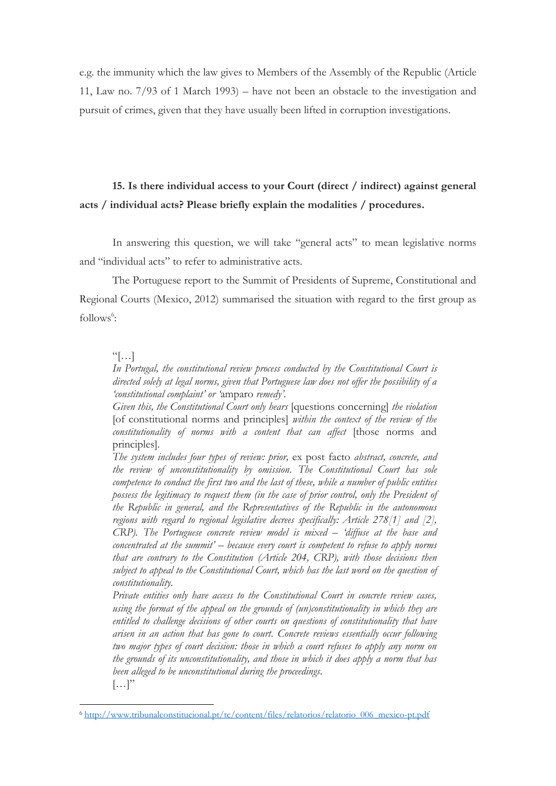e.g. the immunity which the law gives to Members of the Assembly of the Republic (Article 11, Law no. 7/93 of 1 March 1993) – have not been an obstacle to the investigation and pursuit of crimes, given that they have usually been lifted in corruption investigations.

## **15. Is there individual access to your Court (direct / indirect) against general acts / individual acts? Please briefly explain the modalities / procedures.**

In answering this question, we will take "general acts" to mean legislative norms and "individual acts" to refer to administrative acts.

The Portuguese report to the Summit of Presidents of Supreme, Constitutional and Regional Courts (Mexico, 2012) summarised the situation with regard to the first group as follows<sup>6</sup>:

 $\lceil \cdot \rceil$ 

 $\overline{a}$ 

*In Portugal, the constitutional review process conducted by the Constitutional Court is directed solely at legal norms, given that Portuguese law does not offer the possibility of a 'constitutional complaint' or '*amparo *remedy'.*

*Given this, the Constitutional Court only hears* [questions concerning] *the violation* [of constitutional norms and principles] *within the context of the review of the constitutionality of norms with a content that can affect* [those norms and principles]*.*

*The system includes four types of review: prior,* ex post facto *abstract, concrete, and the review of unconstitutionality by omission. The Constitutional Court has sole competence to conduct the first two and the last of these, while a number of public entities possess the legitimacy to request them (in the case of prior control, only the President of the Republic in general, and the Representatives of the Republic in the autonomous regions with regard to regional legislative decrees specifically: Article 278[1] and [2], CRP). The Portuguese concrete review model is mixed – 'diffuse at the base and concentrated at the summit' – because every court is competent to refuse to apply norms that are contrary to the Constitution (Article 204, CRP), with those decisions then subject to appeal to the Constitutional Court, which has the last word on the question of constitutionality.*

*Private entities only have access to the Constitutional Court in concrete review cases, using the format of the appeal on the grounds of (un)constitutionality in which they are entitled to challenge decisions of other courts on questions of constitutionality that have arisen in an action that has gone to court. Concrete reviews essentially occur following two major types of court decision: those in which a court refuses to apply any norm on the grounds of its unconstitutionality, and those in which it does apply a norm that has been alleged to be unconstitutional during the proceedings.*  $\left[\ldots\right]$ "

<sup>6</sup> [http://www.tribunalconstitucional.pt/tc/content/files/relatorios/relatorio\\_006\\_mexico-pt.pdf](http://www.tribunalconstitucional.pt/tc/content/files/relatorios/relatorio_006_mexico-pt.pdf)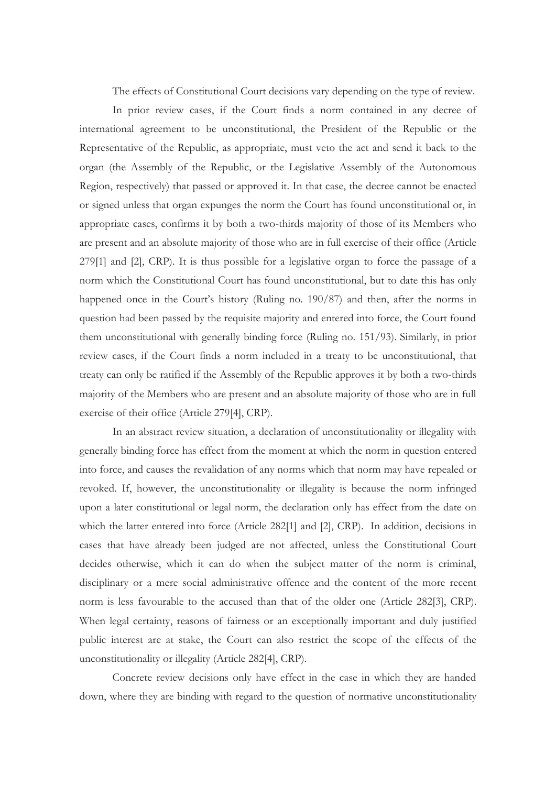The effects of Constitutional Court decisions vary depending on the type of review.

In prior review cases, if the Court finds a norm contained in any decree of international agreement to be unconstitutional, the President of the Republic or the Representative of the Republic, as appropriate, must veto the act and send it back to the organ (the Assembly of the Republic, or the Legislative Assembly of the Autonomous Region, respectively) that passed or approved it. In that case, the decree cannot be enacted or signed unless that organ expunges the norm the Court has found unconstitutional or, in appropriate cases, confirms it by both a two-thirds majority of those of its Members who are present and an absolute majority of those who are in full exercise of their office (Article 279[1] and [2], CRP). It is thus possible for a legislative organ to force the passage of a norm which the Constitutional Court has found unconstitutional, but to date this has only happened once in the Court's history (Ruling no. 190/87) and then, after the norms in question had been passed by the requisite majority and entered into force, the Court found them unconstitutional with generally binding force (Ruling no. 151/93). Similarly, in prior review cases, if the Court finds a norm included in a treaty to be unconstitutional, that treaty can only be ratified if the Assembly of the Republic approves it by both a two-thirds majority of the Members who are present and an absolute majority of those who are in full exercise of their office (Article 279[4], CRP).

In an abstract review situation, a declaration of unconstitutionality or illegality with generally binding force has effect from the moment at which the norm in question entered into force, and causes the revalidation of any norms which that norm may have repealed or revoked. If, however, the unconstitutionality or illegality is because the norm infringed upon a later constitutional or legal norm, the declaration only has effect from the date on which the latter entered into force (Article 282[1] and [2], CRP). In addition, decisions in cases that have already been judged are not affected, unless the Constitutional Court decides otherwise, which it can do when the subject matter of the norm is criminal, disciplinary or a mere social administrative offence and the content of the more recent norm is less favourable to the accused than that of the older one (Article 282[3], CRP). When legal certainty, reasons of fairness or an exceptionally important and duly justified public interest are at stake, the Court can also restrict the scope of the effects of the unconstitutionality or illegality (Article 282[4], CRP).

Concrete review decisions only have effect in the case in which they are handed down, where they are binding with regard to the question of normative unconstitutionality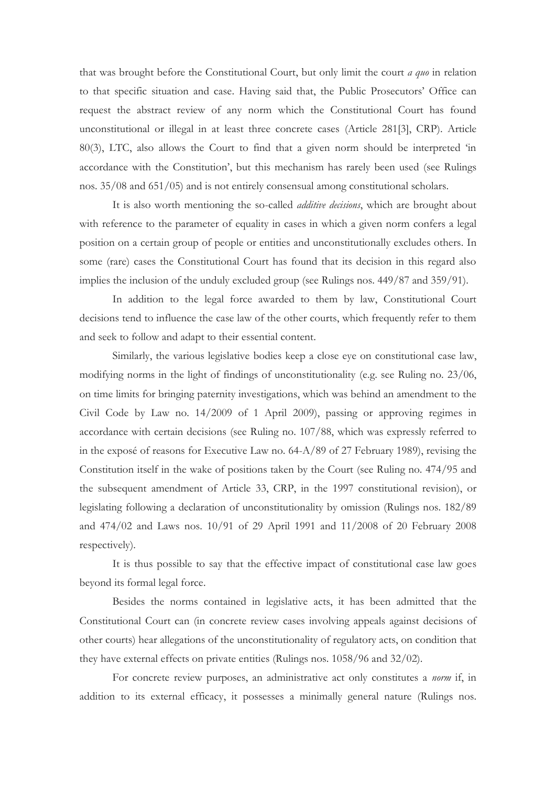that was brought before the Constitutional Court, but only limit the court *a quo* in relation to that specific situation and case. Having said that, the Public Prosecutors' Office can request the abstract review of any norm which the Constitutional Court has found unconstitutional or illegal in at least three concrete cases (Article 281[3], CRP). Article 80(3), LTC, also allows the Court to find that a given norm should be interpreted 'in accordance with the Constitution', but this mechanism has rarely been used (see Rulings nos. 35/08 and 651/05) and is not entirely consensual among constitutional scholars.

It is also worth mentioning the so-called *additive decisions*, which are brought about with reference to the parameter of equality in cases in which a given norm confers a legal position on a certain group of people or entities and unconstitutionally excludes others. In some (rare) cases the Constitutional Court has found that its decision in this regard also implies the inclusion of the unduly excluded group (see Rulings nos. 449/87 and 359/91).

In addition to the legal force awarded to them by law, Constitutional Court decisions tend to influence the case law of the other courts, which frequently refer to them and seek to follow and adapt to their essential content.

Similarly, the various legislative bodies keep a close eye on constitutional case law, modifying norms in the light of findings of unconstitutionality (e.g. see Ruling no. 23/06, on time limits for bringing paternity investigations, which was behind an amendment to the Civil Code by Law no. 14/2009 of 1 April 2009), passing or approving regimes in accordance with certain decisions (see Ruling no. 107/88, which was expressly referred to in the exposé of reasons for Executive Law no. 64-A/89 of 27 February 1989), revising the Constitution itself in the wake of positions taken by the Court (see Ruling no. 474/95 and the subsequent amendment of Article 33, CRP, in the 1997 constitutional revision), or legislating following a declaration of unconstitutionality by omission (Rulings nos. 182/89 and 474/02 and Laws nos. 10/91 of 29 April 1991 and 11/2008 of 20 February 2008 respectively).

It is thus possible to say that the effective impact of constitutional case law goes beyond its formal legal force.

Besides the norms contained in legislative acts, it has been admitted that the Constitutional Court can (in concrete review cases involving appeals against decisions of other courts) hear allegations of the unconstitutionality of regulatory acts, on condition that they have external effects on private entities (Rulings nos. 1058/96 and 32/02).

For concrete review purposes, an administrative act only constitutes a *norm* if, in addition to its external efficacy, it possesses a minimally general nature (Rulings nos.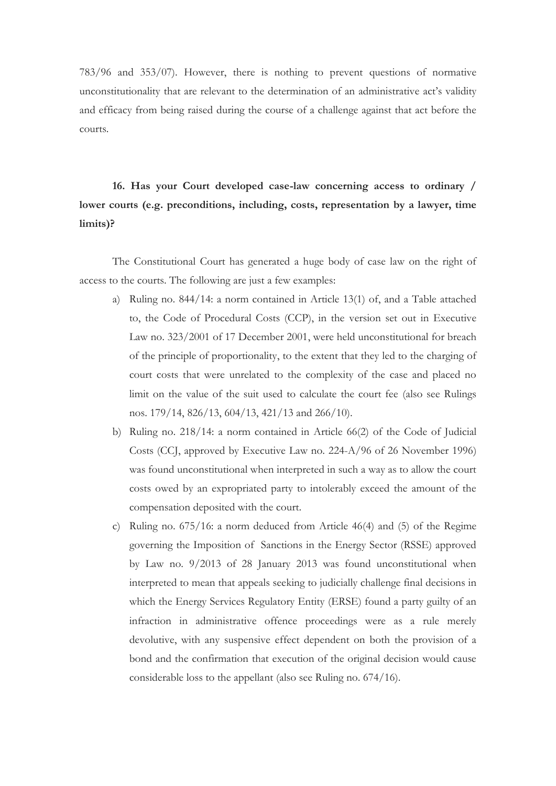783/96 and 353/07). However, there is nothing to prevent questions of normative unconstitutionality that are relevant to the determination of an administrative act's validity and efficacy from being raised during the course of a challenge against that act before the courts.

**16. Has your Court developed case-law concerning access to ordinary / lower courts (e.g. preconditions, including, costs, representation by a lawyer, time limits)?**

The Constitutional Court has generated a huge body of case law on the right of access to the courts. The following are just a few examples:

- a) Ruling no. 844/14: a norm contained in Article 13(1) of, and a Table attached to, the Code of Procedural Costs (CCP), in the version set out in Executive Law no. 323/2001 of 17 December 2001, were held unconstitutional for breach of the principle of proportionality, to the extent that they led to the charging of court costs that were unrelated to the complexity of the case and placed no limit on the value of the suit used to calculate the court fee (also see Rulings nos. 179/14, 826/13, 604/13, 421/13 and 266/10).
- b) Ruling no. 218/14: a norm contained in Article 66(2) of the Code of Judicial Costs (CCJ, approved by Executive Law no. 224-A/96 of 26 November 1996) was found unconstitutional when interpreted in such a way as to allow the court costs owed by an expropriated party to intolerably exceed the amount of the compensation deposited with the court.
- c) Ruling no. 675/16: a norm deduced from Article 46(4) and (5) of the Regime governing the Imposition of Sanctions in the Energy Sector (RSSE) approved by Law no. 9/2013 of 28 January 2013 was found unconstitutional when interpreted to mean that appeals seeking to judicially challenge final decisions in which the Energy Services Regulatory Entity (ERSE) found a party guilty of an infraction in administrative offence proceedings were as a rule merely devolutive, with any suspensive effect dependent on both the provision of a bond and the confirmation that execution of the original decision would cause considerable loss to the appellant (also see Ruling no. 674/16).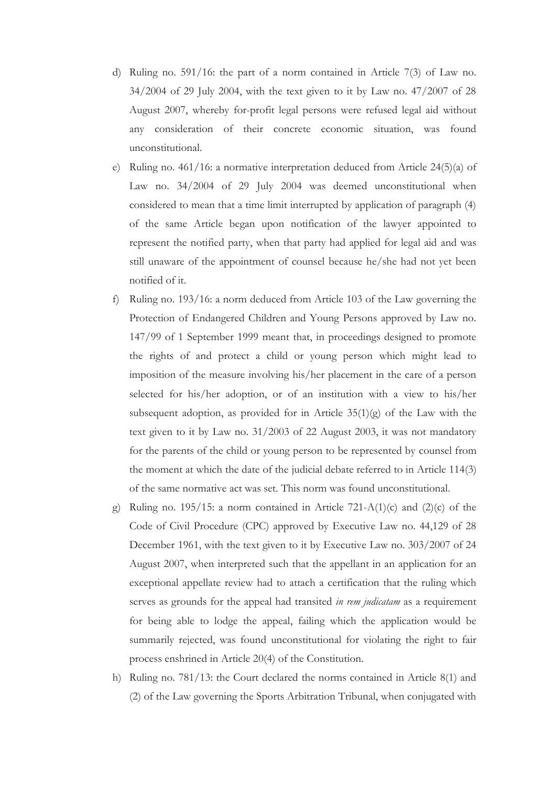- d) Ruling no. 591/16: the part of a norm contained in Article 7(3) of Law no. 34/2004 of 29 July 2004, with the text given to it by Law no. 47/2007 of 28 August 2007, whereby for-profit legal persons were refused legal aid without any consideration of their concrete economic situation, was found unconstitutional.
- e) Ruling no. 461/16: a normative interpretation deduced from Article 24(5)(a) of Law no. 34/2004 of 29 July 2004 was deemed unconstitutional when considered to mean that a time limit interrupted by application of paragraph (4) of the same Article began upon notification of the lawyer appointed to represent the notified party, when that party had applied for legal aid and was still unaware of the appointment of counsel because he/she had not yet been notified of it.
- f) Ruling no. 193/16: a norm deduced from Article 103 of the Law governing the Protection of Endangered Children and Young Persons approved by Law no. 147/99 of 1 September 1999 meant that, in proceedings designed to promote the rights of and protect a child or young person which might lead to imposition of the measure involving his/her placement in the care of a person selected for his/her adoption, or of an institution with a view to his/her subsequent adoption, as provided for in Article  $35(1)(g)$  of the Law with the text given to it by Law no. 31/2003 of 22 August 2003, it was not mandatory for the parents of the child or young person to be represented by counsel from the moment at which the date of the judicial debate referred to in Article 114(3) of the same normative act was set. This norm was found unconstitutional.
- g) Ruling no. 195/15: a norm contained in Article 721-A(1)(c) and (2)(c) of the Code of Civil Procedure (CPC) approved by Executive Law no. 44,129 of 28 December 1961, with the text given to it by Executive Law no. 303/2007 of 24 August 2007, when interpreted such that the appellant in an application for an exceptional appellate review had to attach a certification that the ruling which serves as grounds for the appeal had transited *in rem judicatam* as a requirement for being able to lodge the appeal, failing which the application would be summarily rejected, was found unconstitutional for violating the right to fair process enshrined in Article 20(4) of the Constitution.
- h) Ruling no. 781/13: the Court declared the norms contained in Article 8(1) and (2) of the Law governing the Sports Arbitration Tribunal, when conjugated with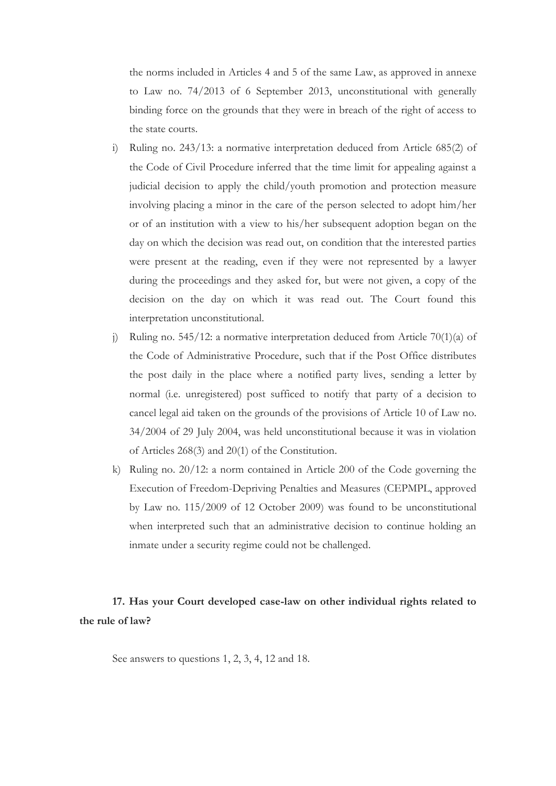the norms included in Articles 4 and 5 of the same Law, as approved in annexe to Law no. 74/2013 of 6 September 2013, unconstitutional with generally binding force on the grounds that they were in breach of the right of access to the state courts.

- i) Ruling no. 243/13: a normative interpretation deduced from Article 685(2) of the Code of Civil Procedure inferred that the time limit for appealing against a judicial decision to apply the child/youth promotion and protection measure involving placing a minor in the care of the person selected to adopt him/her or of an institution with a view to his/her subsequent adoption began on the day on which the decision was read out, on condition that the interested parties were present at the reading, even if they were not represented by a lawyer during the proceedings and they asked for, but were not given, a copy of the decision on the day on which it was read out. The Court found this interpretation unconstitutional.
- j) Ruling no. 545/12: a normative interpretation deduced from Article 70(1)(a) of the Code of Administrative Procedure, such that if the Post Office distributes the post daily in the place where a notified party lives, sending a letter by normal (i.e. unregistered) post sufficed to notify that party of a decision to cancel legal aid taken on the grounds of the provisions of Article 10 of Law no. 34/2004 of 29 July 2004, was held unconstitutional because it was in violation of Articles 268(3) and 20(1) of the Constitution.
- k) Ruling no. 20/12: a norm contained in Article 200 of the Code governing the Execution of Freedom-Depriving Penalties and Measures (CEPMPL, approved by Law no. 115/2009 of 12 October 2009) was found to be unconstitutional when interpreted such that an administrative decision to continue holding an inmate under a security regime could not be challenged.

### **17. Has your Court developed case-law on other individual rights related to the rule of law?**

See answers to questions 1, 2, 3, 4, 12 and 18.